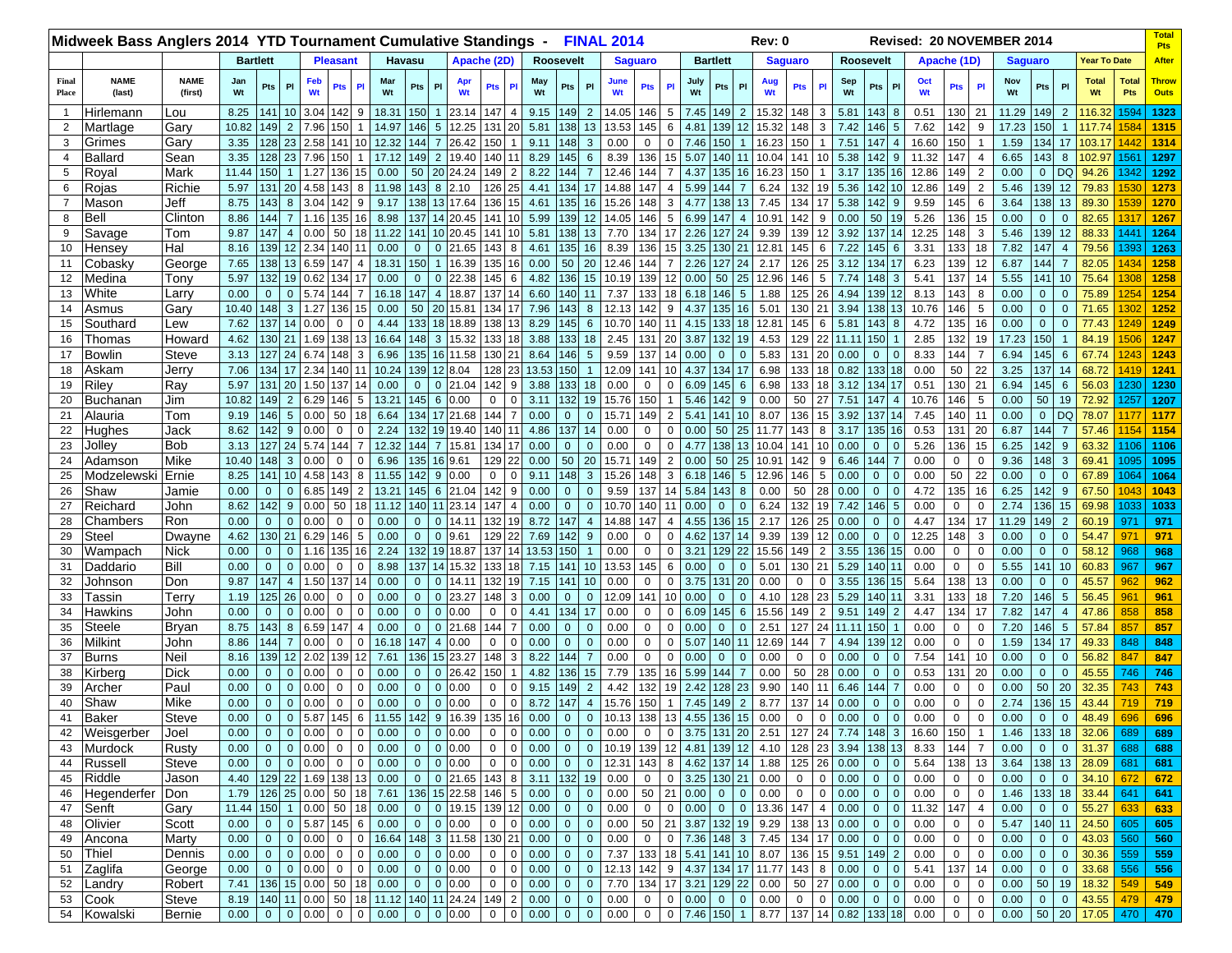|                | Midweek Bass Anglers 2014 YTD Tournament Cumulative Standings - FINAL 2014 |               |      |               |                 |                |                                      |                 |                |                |        |                |                |                                      |                |                |              |                    |                |                             |               |                |                            |                  |                 |                                           | Rev: 0                                                       |                |                |               |                        |                                  | Revised: 20 NOVEMBER 2014                                          |                   |                   |              |                |                       |                  |                          |              | <b>Total</b><br><b>Pts</b> |
|----------------|----------------------------------------------------------------------------|---------------|------|---------------|-----------------|----------------|--------------------------------------|-----------------|----------------|----------------|--------|----------------|----------------|--------------------------------------|----------------|----------------|--------------|--------------------|----------------|-----------------------------|---------------|----------------|----------------------------|------------------|-----------------|-------------------------------------------|--------------------------------------------------------------|----------------|----------------|---------------|------------------------|----------------------------------|--------------------------------------------------------------------|-------------------|-------------------|--------------|----------------|-----------------------|------------------|--------------------------|--------------|----------------------------|
|                |                                                                            |               |      |               | <b>Bartlett</b> |                |                                      | <b>Pleasant</b> |                |                | Havasu |                |                |                                      | Apache (2D)    |                |              | <b>Roosevelt</b>   |                |                             |               | <b>Saguaro</b> |                            |                  | <b>Bartlett</b> |                                           |                                                              | <b>Saguaro</b> |                |               | <b>Roosevelt</b>       |                                  |                                                                    | Apache (1D)       |                   |              | <b>Saguaro</b> |                       |                  | <b>Year To Date</b>      |              | <b>After</b>               |
| Final          | <b>NAME</b>                                                                | <b>NAME</b>   | Jan  |               | Pts             | P1             | Feb                                  | <b>Pts</b>      | PI             | Mar            |        | Pts            | PI             | Apr                                  | Pts            | PI             | May          |                    | Pts            | P1                          | June          | Pts            | PI                         | July             | Pts             | PI                                        | Aug                                                          | Pts            | <b>PI</b>      | Sep           |                        | Pts PI                           | Oct                                                                | Pts               | P1                | Nov          |                | Pts                   | PI               | <b>Total</b>             | Total        | <b>Throw</b>               |
| Place          | (last)                                                                     | (first)       |      | Wt            |                 |                | Wt                                   |                 |                | Wt             |        |                |                | Wt                                   |                |                | Wt           |                    |                |                             | Wt            |                |                            | Wt               |                 |                                           | Wt                                                           |                |                | Wt            |                        |                                  | Wt                                                                 |                   |                   | Wt           |                |                       |                  | Wt                       | Pts          | <b>Outs</b>                |
| $\mathbf{1}$   | Hirlemann                                                                  | Lou           |      | 8.25          |                 |                | 141 10 3.04 142                      |                 | 9              | 18.31          |        | 150            |                | $1 \, 23.14$                         | 147            | $\overline{4}$ | 9.15         |                    | 149 2          |                             | 14.05         | 146            | 5                          | 7.45             | 149             |                                           | 2 15.32                                                      | 148            | $\mathbf{3}$   | 5.81          |                        | 143 8                            | 0.51                                                               | 130               | 21                | 11.29        |                | 149                   | $\overline{2}$   | 116.32                   | 1594         | 1323                       |
| $\overline{2}$ | Martlage                                                                   | Gary          |      | 10.82         | 149             | 2              | 7.96                                 | 150             |                | 14.97          |        | $146$ 5        |                | 12.25                                | 131            | 20             | 5.81         |                    | 138 13         |                             | 13.53         | 145            | 6                          | 4.81             | 139             |                                           | 12 15.32                                                     | 148            | $\mathbf{3}$   | 7.42          | 146                    | $5\phantom{.0}$                  | 7.62                                                               | 142               | 9                 | 17.23        |                | 150                   |                  | 117.74                   | 158          | 1315                       |
| 3              | Grimes                                                                     | Gary          |      | 3.35          |                 | 128 23         | 2.58 141                             |                 | 10             | 12.32          |        | 144 7          |                | 26.42                                | 150            |                | 9.11         |                    | 148 3          |                             | 0.00          | $\mathbf{0}$   | $\mathbf 0$                | 7.46             | 150             |                                           | 16.23                                                        | 150            |                | 7.51          | 147                    | $\overline{4}$                   | 16.60                                                              | 150               | $\mathbf{1}$      | 1.59         |                | $134$                 | -17              | 103.17 <mark>144:</mark> |              | 1314                       |
| 4              | <b>Ballard</b>                                                             | Sean          |      | 3.35          |                 | 128 23         | 7.96 150                             |                 |                | 17.12          |        | 149            | 2 <sup>1</sup> | 19.40                                | 140            | 11             | 8.29         |                    | 145            | $6\overline{6}$             | 8.39          | 136            | 15                         | 5.07             | 140             |                                           | $11$ 10.04                                                   | 141            | 10             | 5.38          | 142                    | 9                                | 11.32                                                              | 147               | 4                 | 6.65         |                | 143                   | 8                | 102.97 1561              |              | 1297                       |
| 5              | Royal                                                                      | Mark          |      | 11.44         | 150             | $\mathbf{1}$   | 1.27                                 | 136             | 15             | 0.00           |        | 50             |                | 20 24.24                             | 149            | $\overline{2}$ | 8.22         |                    | 144            | $\overline{7}$              | 12.46         | 144            | $\overline{7}$             | 4.37             | 135             |                                           | 16 16.23                                                     | 150            |                | 3.17          | 135                    | 16                               | 12.86                                                              | 149               | $\overline{2}$    | 0.00         |                | $0$ DQ                |                  | 94.26 1342               |              | 1292                       |
| 6              | Rojas                                                                      | Richie        |      | 5.97          | 131             | 20             | 4.58                                 | 143             | 8              | 11.98          |        | 143            |                | 8 2.10                               | 126            | 25             | 4.41         |                    | 134            | 17                          | 14.88         | 147            | $\overline{4}$             | 5.99             | 144             |                                           | 6.24                                                         | 132            | 19             | 5.36          | 142                    | 10                               | 12.86                                                              | 149               | $\overline{2}$    | 5.46         |                | 139                   | 12               | 79.83                    |              | 1273                       |
| $\overline{7}$ | Mason                                                                      | Jeff          |      | 8.75          | 143             | 8              | 3.04 142                             |                 | 9              | 9.17           |        |                |                | 138 13 17.64                         | 136            | 15             | 4.61         |                    | 135 16         |                             | 15.26         | 148            | 3                          | 4.77             | 138             | 13                                        | 7.45                                                         | 134            | 17             | 5.38          | 142                    | 9                                | 9.59                                                               | 145               | 6                 | 3.64         |                | 138                   | 13               | 89.30                    | 153          | 1270                       |
| 8              | Bell                                                                       | Clinton       |      | 8.86          | 144             | $\overline{7}$ | 1.16 135                             |                 | 16             | 8.98           |        |                |                | 137 14 20.45                         | 141            | 10             | 5.99         |                    | 139            | 12                          | 14.05         | 146            | 5                          | 6.99             | 147             |                                           | 4 10.91                                                      | 142            | 9              | 0.00          | 50                     | 19                               | 5.26                                                               | 136               | 15                | 0.00         |                | $\overline{0}$        | $\overline{0}$   | 82.65                    | 131          | 1267                       |
| 9              | Savage                                                                     | Tom           |      | 9.87          | 147             | $\overline{4}$ | 0.00                                 | 50              | 18             | 11.22          |        | 141            |                | 10 20.45                             | 141            | 10             | 5.81         |                    | 138 13         |                             | 7.70          | 134            | 17                         | 2.26             | 127             | 24                                        | 9.39                                                         | 139            | 12             | 3.92          | 137                    | 14                               | 12.25                                                              | 148               | 3                 | 5.46         |                | 139                   | 12               | 88.33 144                |              | 1264                       |
| 10             | Hensey                                                                     | Hal           |      | 8.16          |                 | 139 12         | 2.34 140                             |                 | 11             | 0.00           |        | $\mathbf 0$    |                | $0$ 21.65                            | 143            | 8              | 4.61         |                    | 135 16         |                             | 8.39          | 136            | 15                         | 3.25             | 130             | 21                                        | 12.81                                                        | 145            | 6              | 7.22          | 145                    | 6                                | 3.31                                                               | 133               | 18                | 7.82         |                | 147                   | $\overline{4}$   | 79.56                    | 1393         | 1263                       |
| 11             | Cobasky                                                                    | George        |      | 7.65          |                 | 138 13         | 6.59 147                             |                 |                | 18.31          |        | 150            |                | 1 16.39                              | 135            | 16             | 0.00         |                    | 50             | 20                          | 12.46         | 144            |                            | 2.26             | 127             | 24                                        | 2.17                                                         | 126            | 25             | 3.12          |                        | 134 17                           | 6.23                                                               | 139               | 12                | 6.87         |                | 144                   |                  | 82.05                    | 1434         | 1258                       |
| 12             | Medina                                                                     | Tony          |      | 5.97          |                 |                | 132 19 0.62 134                      |                 | 17             | 0.00           |        | $\mathbf 0$    |                | $0$ 22.38                            | 145            | 6              | 4.82         |                    | 136 15         |                             | 10.19         | 139            | 12                         | 0.00             | 50              |                                           | 25 12.96                                                     | 146            | 5              | 7.74          |                        | $148$ 3                          | 5.41                                                               | 137               | 14                | 5.55         |                | $141$                 | 10               | 75.64                    |              | 1258                       |
| 13             | White                                                                      | Larry         |      | 0.00          | $\overline{0}$  | $\overline{0}$ | 5.74 144                             |                 |                |                | 16.18  | 147            | $\overline{4}$ | 18.87                                | 137            | 14             | 6.60         |                    | 140 11         |                             | 7.37          | 133            | 18                         | 6.18             | 146             | 5 <sup>5</sup>                            | 1.88                                                         | 125            | 26             | 4.94          |                        | 139 12                           | 8.13                                                               | 143               | 8                 | 0.00         |                | $\mathbf{0}$          | $\overline{0}$   | 75.89                    | 1254         | 1254                       |
| 14             | Asmus                                                                      | Gary          |      | 10.40         | 148             | $\mathbf{3}$   | 1.27                                 | 136             | 15             | 0.00           |        | 50             | 20             | 15.81                                | 134            | 17             | 7.96         |                    | 143            | 8                           | 12.13         | 142            | 9                          | 4.37             | 135             | 16                                        | 5.01                                                         | 130            | 21             | 3.94          |                        | 138 13                           | 10.76                                                              | 146               | 5                 | 0.00         |                | $\mathbf{0}$          | $\overline{0}$   | 71.65                    |              | 1252                       |
| 15             | Southard                                                                   | Lew           |      | 7.62          |                 | 137 14         | 0.00                                 | 0               | 0              | 4.44           |        |                |                | 133 18 18.89                         | 138            | 13             | 8.29         |                    | 145            | 6 <sup>o</sup>              | 10.70         | 140            | 11                         | 4.15             | 133             |                                           | 18 12.81                                                     | 145            | 6              | 5.81          | 143                    | 8                                | 4.72                                                               | 135               | 16                | 0.00         |                | $\overline{0}$        | $\overline{0}$   | 77.43                    | 124          | 1249                       |
| 16             | Thomas                                                                     | Howard        |      | 4.62          |                 | 130 21         | 1.69 138                             |                 | 13             | 16.64          |        | 148            |                | 3 15.32                              | 133            | 18             | 3.88         |                    | 133 18         |                             | 2.45          | 131 20         |                            | 3.87             | 132             |                                           | 19 4.53                                                      | 129            | 22             | 11.11         | 150                    |                                  | 2.85                                                               | 132               | 19                | 17.23        |                | 150                   |                  | 84.19                    | 150          | 1247                       |
| 17             | <b>Bowlin</b>                                                              | Steve         |      | 3.13          |                 | 127 24         | 6.74 148                             |                 | 3              | 6.96           |        | 135            |                | 16 11.58                             | 130            | 21             | 8.64         |                    | 146            | $5\overline{5}$             | 9.59          | 137            | 14                         | 0.00             | $\mathbf{0}$    | $\mathbf{0}$                              | 5.83                                                         | 131            | 20             | 0.00          | $\overline{0}$         | $\mathbf 0$                      | 8.33                                                               | 144               | $\overline{7}$    | 6.94         |                | 145                   | 6                | 67.74                    |              | 1243                       |
| 18             | Askam                                                                      | Jerry         |      | 7.06          |                 | 134 17         | 2.34 140                             |                 |                | 10.24          |        | 139 12 8.04    |                |                                      | 128            | 23             | 13.53        |                    | 150            | -1                          | 12.09         | 141            | 10                         | 4.37             | 134             | 17                                        | 6.98                                                         | 133            | 18             | 0.82          |                        | 133 18                           | 0.00                                                               | 50                | 22                | 3.25         |                | 137                   | 14               | 68.72                    | 141          | 1241                       |
| 19             | Riley                                                                      | Ray           |      | 5.97          |                 | 131 20         | 1.50 137                             |                 | 14             | 0.00           |        | $\mathbf 0$    |                | $0$ 21.04                            | 142            | 9              | 3.88         |                    | 133 18         |                             | 0.00          | $\mathbf 0$    | $\mathbf 0$                | 6.09             | 145             | 6                                         | 6.98                                                         | 133            | 18             | 3.12          |                        | 134 17                           | 0.51                                                               | 130               | 21                | 6.94         |                | 145                   | 6                | 56.03                    | 1230         | 1230                       |
| 20             | <b>Buchanan</b>                                                            | Jim           |      | 10.82         | 149             | $\overline{2}$ | 6.29 146                             |                 | 5              | 13.21          |        | 145            |                | 6 0.00                               | 0              | 0              | 3.11         |                    | 132 19         |                             | 15.76         | 150            |                            | 5.46             | 142             | 9                                         | 0.00                                                         | 50             | 27             | 7.51          | 147                    | $\overline{4}$                   | 10.76                                                              | 146               | $\sqrt{5}$        | 0.00         |                | 50                    | 19               | 72.92                    | 1257         | 1207                       |
| 21             | Alauria                                                                    | Tom           |      | 9.19          | 146<br>42       | 5 <sup>5</sup> | 0.00<br>0.00                         | 50              | 18             | 6.64           |        |                |                | 134 17 21.68                         | 144            | $\overline{7}$ | 0.00         | $\mathbf{0}$       |                | $\mathbf 0$                 | 15.71         | 149            | $\overline{2}$<br>$\Omega$ | 5.41             | 141             | 10 <sup>1</sup>                           | 8.07                                                         | 136            | 15             | 3.92          | 137                    | 14                               | 7.45                                                               | 140               | 11                | 0.00         |                | $0$ DQ                |                  | 78.07                    | 1177         | 1177                       |
| 22             | Hughes                                                                     | Jack          |      | 8.62          |                 | 9              | 127 24 5.74 144                      | 0               |                | 2.24           |        | 132            |                | 19 19.40                             | 140            | $1^{\prime}$   | 4.86         |                    | 137            | 14                          | 0.00          | 0              |                            | 0.00             | 50              |                                           | 25 11.77                                                     | 143            | 8              | 3.17          | 135                    | 16                               | 0.53                                                               | 131               | 20                | 6.87         |                | 144                   |                  | 57.46                    |              | 1154                       |
| 23             | Jolley                                                                     | <b>Bob</b>    |      | 3.13          |                 | $\mathbf{3}$   | 0.00                                 |                 |                | 12.32          |        | 144            |                | 7 15.81                              | 134            | 17             | 0.00         | $\mathbf{0}$<br>50 |                | $\mathbf 0$<br>20           | 0.00          | $\mathbf 0$    | $\Omega$                   | 4.77             | 138             |                                           | 13 10.04                                                     | 141            | 10             | 0.00          | $\mathbf 0$            | $\mathbf 0$                      | 5.26                                                               | 136               | 15                | 6.25         |                | 142                   | -9               | 63.32                    | 1106         | 1106                       |
| 24<br>25       | Adamson                                                                    | Mike          |      | 10.40<br>8.25 | 148<br>141      | 10             |                                      | $\mathbf 0$     | $\mathbf 0$    | 6.96           |        | 135            |                | 16 9.61<br> 0.00                     | 129            | 22             | 0.00<br>9.11 |                    | 148            |                             | 15.71         | 149            | $\overline{2}$             | 0.00             | 50              |                                           | 25 10.91                                                     | 142<br>146     | 9              | 6.46<br>0.00  | 1441<br>$\overline{0}$ | $\overline{7}$<br>$\overline{0}$ | 0.00<br>0.00                                                       | $\mathbf 0$<br>50 | $\mathbf 0$<br>22 | 9.36<br>0.00 |                | 148<br>$\overline{0}$ | 3                | 69.41<br>67.89           | 1095         | 1095                       |
|                | Modzelewski                                                                | Ernie         |      | 0.00          | $\mathbf{0}$    | $\overline{0}$ | 4.58<br>6.85 149                     | 143             | 8<br>2         | 11.55<br>13.21 |        | 142<br>145     | 9              | 6 21.04                              | 0<br>142       | 0<br>9         |              | $\mathbf{0}$       |                | $\mathbf{3}$<br>$\mathbf 0$ | 15.26<br>9.59 | 148<br>137     | 3<br>14                    | 6.18<br>5.84     | 146<br>143      | $5\overline{)}$                           | 12.96                                                        | 50             | 5<br>28        | 0.00          | $\mathbf 0$            | $\Omega$                         | 4.72                                                               | 135               | 16                | 6.25         |                | 142                   | $\mathbf 0$<br>9 | 67.50                    | 1064         | 1064<br>1043               |
| 26<br>27       | Shaw<br>Reichard                                                           | Jamie<br>John |      | 8.62          |                 | $ 42 $ 9       | 0.00                                 | 50              | 18             | 11.12          |        |                |                | 140 11 23.14                         | 147            | $\overline{4}$ | 0.00<br>0.00 | $\mathbf{0}$       |                | $\Omega$                    | 10.70         | 140            |                            | 0.00             | $\Omega$        | $\overline{\mathbf{8}}$<br>$\overline{0}$ | 0.00<br>6.24                                                 | 132            | 19             | 7.42          | 146                    | $5\phantom{.0}$                  | 0.00                                                               | $\Omega$          | $\mathbf 0$       | 2.74         |                | 136                   | 15               | 69.98                    | 104:<br>1033 | 1033                       |
| 28             |                                                                            | Ron           |      | 0.00          | $\overline{0}$  | $\overline{0}$ | 0.00                                 | 0               | $\mathbf 0$    | 0.00           |        | $\mathbf 0$    |                | $0$   14.11                          | 132            | 19             | 8.72         |                    | 147            | $\overline{4}$              | 14.88         | 147            | $\overline{4}$             | 4.55             | 136             | 15                                        | 2.17                                                         | 126            | 25             | 0.00          | $\mathbf 0$            | $\mathbf 0$                      | 4.47                                                               | 134               | 17                | 11.29        |                | 149                   | $\overline{2}$   | 60.19                    | 971          | 971                        |
| 29             | Chambers<br>Steel                                                          | Dwayne        |      | 4.62          |                 | 130 21         | 6.29 146                             |                 | 5              | 0.00           |        | $\mathbf 0$    |                | $0$ 9.61                             | 129            | 22             | 7.69         |                    | 142            | -9                          | 0.00          | $\mathbf 0$    | $\mathbf 0$                | 4.62             | 137             | 14                                        | 9.39                                                         | 139            | 12             | 0.00          | $\overline{0}$         | $\mathbf{0}$                     | 12.25                                                              | 148               | 3                 | 0.00         |                | $\overline{0}$        | $\overline{0}$   | 54.47                    | 971          | 971                        |
| 30             | Wampach                                                                    | <b>Nick</b>   |      | 0.00          | $\mathbf{0}$    | $\overline{0}$ | 1.16 135                             |                 | 16             | 2.24           |        |                |                | 132 19 18.87                         | 137            | 14             | 13.53        |                    | 150            |                             | 0.00          | $\overline{0}$ | $\mathbf 0$                | 3.21             | 129             | 22                                        | 15.56                                                        | 149            | $\overline{2}$ | 3.55          | 136                    | 15                               | 0.00                                                               | $\mathbf 0$       | $\Omega$          | 0.00         |                | $\overline{0}$        | $\overline{0}$   | 58.12                    | 968          | 968                        |
| 31             | Daddario                                                                   | Bill          |      | 0.00          | $\overline{0}$  | $\overline{0}$ | 0.00                                 | 0               | $\mathbf 0$    | 8.98           |        |                |                | 137 14 15.32                         | 133            | 18             | 7.15         |                    | 141 10         |                             | 13.53         | 145            | 6                          | 0.00             | $\mathbf{0}$    | $\overline{0}$                            | 5.01                                                         | 130            | 21             | 5.29          |                        | 140 11                           | 0.00                                                               | $\mathbf 0$       | $\mathbf 0$       | 5.55         |                | 141 10                |                  | 60.83                    | 967          | 967                        |
| 32             | Johnson                                                                    | Don           | 9.87 |               | 147             | $\overline{4}$ | 1.50 137                             |                 | 14             | 0.00           |        | $\mathbf 0$    |                | $0$ 14.11                            | 132            | 19             | 7.15         |                    | 141 10         |                             | 0.00          | $\overline{0}$ | $\mathbf 0$                | 3.75             | 131 20          |                                           | 0.00                                                         | $\mathbf 0$    | $\mathbf{0}$   | 3.55          |                        | 136 15                           | 5.64                                                               | 138               | 13                | 0.00         |                | $\overline{0}$        | $\overline{0}$   | 45.57                    | 962          | 962                        |
| 33             | Гassin                                                                     | Terry         |      | 1.19          | 125             | 26             | 0.00                                 | $\mathbf 0$     | $\mathbf 0$    | 0.00           |        | $\mathbf 0$    |                | 0 23.27                              | 148            | 3              | 0.00         | $\mathbf{0}$       |                | $\mathbf 0$                 | 12.09         | 141            | 10                         | 0.00             | $\mathbf{0}$    | $\mathbf 0$                               | 4.10                                                         | 128            | 23             | 5.29          |                        | 140 11                           | 3.31                                                               | 133               | 18                | 7.20         |                | 146                   | 5                | 56.45                    | 961          | 961                        |
| 34             | Hawkins                                                                    | John          |      | 0.00          | $\mathbf{0}$    | $\overline{0}$ | 0.00                                 | $\mathbf 0$     | 0              | 0.00           |        | $\mathbf 0$    |                | 0 0.00                               | $\mathbf 0$    | 0              | 4.41         |                    | 134 17         |                             | 0.00          | $\mathbf 0$    | $\mathbf 0$                | 6.09             | 145             |                                           | 6 15.56                                                      | 149            | $\overline{2}$ | 9.51          |                        | 149 2                            | 4.47                                                               | 134               | 17                | 7.82         |                | 147<br>$\overline{4}$ |                  | 47.86                    | 858          | 858                        |
| 35             | Steele                                                                     | <b>Bryan</b>  |      | 8.75          | 143             | 8              | 6.59 147                             |                 |                | 0.00           |        | $\mathbf{0}$   |                | $0$ 21.68                            | 144            | $\overline{7}$ | 0.00         | $\mathbf{0}$       |                | $\mathbf 0$                 | 0.00          | $\mathbf 0$    | $\Omega$                   | 0.00             | $\Omega$        | $\overline{0}$                            | 2.51                                                         | 127            | 24             | 11.11         | 150                    |                                  | 0.00                                                               | 0                 | 0                 | 7.20         |                | 146                   | $5\phantom{.0}$  | 57.84                    | 857          | 857                        |
| 36             | Milkint                                                                    | John          |      | 8.86          | 144             | $\overline{7}$ | 0.00                                 | $\mathbf 0$     | $\mathbf 0$    | 16.18          |        | 147            |                | 4 0.00                               | $\mathbf 0$    | $\mathbf 0$    | 0.00         | $\mathbf 0$        |                | $\mathbf 0$                 | 0.00          | $\mathbf 0$    | $\mathbf 0$                | 5.07             |                 |                                           | 140 11 12.69                                                 | 144            | 7              | 4.94          |                        | 139 12                           | 0.00                                                               | 0                 | 0                 | 1.59         |                | 134 17                |                  | 49.33                    | 848          | 848                        |
| 37             | <b>Burns</b>                                                               | Neil          |      | 8.16          |                 | 139 12         | 2.02 139                             |                 | 12             | 7.61           |        |                |                | 136 15 23.27                         | 148            | 3              | 8.22         |                    | 144            | $\overline{7}$              | 0.00          | $\mathbf 0$    | $\mathbf 0$                | 0.00             | $\mathbf{0}$    | $\mathbf{0}$                              | 0.00                                                         | 0              | $\Omega$       | 0.00          | $\overline{0}$         | $\mathbf 0$                      | 7.54                                                               | 141               | 10                | 0.00         |                | $\overline{0}$        | $\overline{0}$   | 56.82                    | 847          | 847                        |
| 38             | Kirberg                                                                    | <b>Dick</b>   |      | 0.00          | $\mathbf{0}$    | $\overline{0}$ | 0.00                                 | 0               | $\Omega$       | 0.00           |        | $\mathbf 0$    |                | $0$ 26.42                            | 150            |                | 4.82         |                    | 136            | 15                          | 7.79          | 135            | 16                         | 5.99             | 144             |                                           | 0.00                                                         | 50             | 28             | 0.00          | $\overline{0}$         | $\Omega$                         | 0.53                                                               | 131               | 20                | 0.00         |                | $\overline{0}$        | $\overline{0}$   | 45.55                    | 746          | 746                        |
| 39             | Archer                                                                     | Paul          |      | 0.00          | $\mathbf{0}$    | $\overline{0}$ | 0.00                                 | 0               | 0              | 0.00           |        | $\mathbf{0}$   |                | 0 0.00                               | $\mathbf 0$    | 0              | 9.15         |                    | 149            | $\overline{2}$              | 4.42          | 132            | 19 <sub>1</sub>            | 2.42             | 128             | 23                                        | 9.90                                                         | 140            | 11             | 6.46          | 144                    |                                  | 0.00                                                               | $\mathbf 0$       | $\mathbf 0$       | 0.00         |                | 50 20                 |                  | 32.35                    | 743          | 743                        |
| 40             | Shaw                                                                       | Mike          |      | 0.00          | $\mathbf{0}$    | $\overline{0}$ | 0.00                                 | $\mathbf 0$     | $\mathbf 0$    | 0.00           |        | $\mathbf 0$    |                | 0 0.00                               | $\mathbf{0}$   | $\mathbf 0$    | 8.72         | 147                |                | $\overline{4}$              | 15.76         | 150            | $\mathbf{1}$               | 7.45             | 149             | $\overline{2}$                            | 8.77                                                         | 137            | 14             | 0.00          | $\mathbf 0$            | $\mathbf{0}$                     | 0.00                                                               | $\mathbf{0}$      | $\mathbf 0$       | 2.74         |                | 136                   | 15               | 43.44                    | 719          | 719                        |
| 41             | <b>Baker</b>                                                               | Steve         |      | 0.00          | $\overline{0}$  |                | $0$ 5.87 145 6                       |                 |                |                |        |                |                | 11.55 142 9 16.39                    |                | 135 16         | 0.00         |                    | $\mathbf{0}$   | $\overline{0}$              |               |                |                            |                  |                 |                                           | 10.13 138 13 4.55 136 15 0.00                                | $\mathbf 0$    | $\overline{0}$ | 0.00          | $\overline{0}$         | $\overline{0}$                   | 0.00                                                               | $\mathbf 0$       | $\mathbf 0$       | 0.00         |                | $\mathbf{0}$          | $\mathbf 0$      | 48.49                    | 696          | 696                        |
|                | 42 Weisgerber                                                              | Joel          | 0.00 |               |                 |                | $0 \t 0 \t 0.00 \t 0$                |                 | $\overline{0}$ | 0.00           |        | $\overline{0}$ |                | $0\,0.00$                            |                | $0 \quad 0$    | 0.00         |                    | $0 \mid 0$     |                             | 0.00          |                |                            |                  |                 |                                           |                                                              |                |                |               |                        |                                  | 0   0   3.75   131   20   2.51   127   24   7.74   148   3   16.60 | 150               | $\overline{1}$    | 1.46         |                |                       |                  | 133 18 32.06 689         |              | 689                        |
| 43             | Murdock                                                                    | <b>Rusty</b>  |      | 0.00          |                 |                | 0 0 0.00 0                           |                 | $\mathbf 0$    | 0.00           |        | $\mathbf{0}$   |                | 0 0.00                               | $\overline{0}$ | $\mathsf 0$    | 0.00         |                    | $\mathbf{0}$   | $\overline{0}$              | 10.19         |                |                            | 139 12 4.81      |                 |                                           | 139 12 4.10 128 23 3.94 138 13                               |                |                |               |                        |                                  | 8.33                                                               | 144               | $\overline{7}$    | 0.00         |                | $\overline{0}$        | $\overline{0}$   | 31.37                    | 688          | 688                        |
|                | 44 Russell                                                                 | Steve         |      | 0.00          |                 |                | 0 0 0.00 0 0                         |                 |                | 0.00           |        |                |                | 0 0 0.00                             |                | $0 \quad 0$    | 0.00         |                    | $0 \mid 0$     |                             | 12.31         |                |                            |                  |                 |                                           | $\vert$ 143 $\vert$ 8 $\vert$ 4.62 137 14 1.88 125 26 0.00   |                |                |               |                        | $0 \mid 0$                       | 5.64                                                               | 138               | 13                | 3.64         |                |                       |                  | 138 13 28.09 681         |              | 681                        |
| 45             | Riddle                                                                     | Jason         |      | 4.40          |                 |                | 129 22 1.69 138 13                   |                 |                | 0.00           |        |                |                | $0 \mid 0 \mid 21.65$                |                | $143 \mid 8$   |              | 3.11 132 19        |                |                             | 0.00          |                |                            |                  |                 |                                           | $0 \mid 0 \mid 3.25 \mid 130 \mid 21 \mid 0.00$              | $\overline{0}$ |                | $0\quad 0.00$ |                        | 0 <sup>0</sup>                   | 0.00                                                               | $\overline{0}$    | $\mathbf 0$       | 0.00         |                | $0 \mid 0$            |                  | $34.10$ 672              |              | 672                        |
| 46             | Hegenderfer Don                                                            |               |      | 1.79          |                 |                | 126 25 0.00 50 18                    |                 |                | 7.61           |        |                |                | 136 15 22.58                         | 146            | $\sqrt{5}$     | 0.00         |                    | $0 \quad 0$    |                             | 0.00          | 50 21          |                            | 0.00             |                 |                                           | $0 \quad 0 \quad 0.00$                                       | $\overline{0}$ |                | $0\quad 0.00$ |                        | $0 \mid 0$                       | 0.00                                                               | $\overline{0}$    | $\mathbf 0$       | 1.46         |                |                       |                  | $133$ 18 33.44 641       |              | 641                        |
| 47             | Senft                                                                      | Gary          |      | 11.44         |                 |                | 150 1 0.00 50 18 0.00                |                 |                |                |        | $\mathbf{0}$   |                | 0 19.15 139 12                       |                |                | 0.00         |                    | $0 \quad 0$    |                             | 0.00          | $0 \quad 0$    |                            | 0.00             | 0 <sub>0</sub>  |                                           | 0 13.36 147 4 0.00                                           |                |                |               | $\overline{0}$         | $\overline{0}$                   | 11.32                                                              | 147               | $\overline{4}$    | 0.00         |                | $\overline{0}$        | $\overline{0}$   | 55.27 633                |              | 633                        |
| 48             | Olivier                                                                    | Scott         |      | 0.00          |                 |                | $0 \mid 0 \mid 5.87 \mid 145 \mid 6$ |                 |                | 0.00           |        | $\mathbf{0}$   |                | $0\,0.00$                            | $\overline{0}$ | $\mathbf 0$    | 0.00         |                    | $0 \quad 0$    |                             | $0.00\,$      |                |                            |                  |                 |                                           | 50 21 3.87 132 19 9.29 138 13 0.00                           |                |                |               |                        | $0 \mid 0$                       | 0.00                                                               | $\overline{0}$    | $\mathbf 0$       | 5.47         |                |                       |                  | 140 11 24.50 605         |              | 605                        |
| 49             | Ancona                                                                     | <b>Marty</b>  |      | 0.00          |                 |                |                                      |                 |                |                |        |                |                | $0$ 0 0.00 0 0 16.64 148 3 11.58     |                | 130 21         | 0.00         |                    | $0 \mid 0$     |                             | 0.00          |                |                            |                  |                 |                                           | $0$ 0 7.36 148 3 7.45 134 17 0.00                            |                |                |               |                        | $0 \mid 0$                       | 0.00                                                               | $\overline{0}$    | $\overline{0}$    | 0.00         |                | $\overline{0}$        | $\overline{0}$   | 43.03 560                |              | 560                        |
| 50             | Thiel                                                                      | Dennis        | 0.00 |               |                 |                | $0 \t 0 \t 0.00 \t 0$                |                 | $\overline{0}$ | 0.00           |        | $\mathbf{0}$   |                | 0 0.00                               | 0              | $\mathbf 0$    | 0.00         |                    | $0 \quad 0$    |                             | 7.37          |                |                            |                  |                 |                                           | 133 18 5.41 141 10 8.07 136 15 9.51 149 2                    |                |                |               |                        |                                  | 0.00                                                               | $\overline{0}$    | $\mathbf 0$       | 0.00         |                | 0                     | $\overline{0}$   | 30.36 559                |              | 559                        |
| 51             | Zaglifa                                                                    | George        |      | 0.00          |                 |                | 0 0 0.00 0 0                         |                 |                | 0.00           |        | $\mathbf{0}$   |                | 0 0.00                               | $\overline{0}$ | $\mathbf 0$    | 0.00         |                    | $\overline{0}$ | $\mathbf{0}$                | 12.13         | 142 9          |                            | 4.37             |                 |                                           | 134 17 11.77 143 8 0.00                                      |                |                |               | $\overline{0}$         | $\mathbf 0$                      | 5.41                                                               | 137               | 14                | 0.00         |                | $\overline{0}$        | $\overline{0}$   | 33.68                    | 556          | 556                        |
| 52             | Landry                                                                     | Robert        | 7.41 |               |                 |                | 136 15 0.00 50 18 0.00               |                 |                |                |        | $\overline{0}$ |                | $0\,0.00$                            | 0              | $\mathbf 0$    | 0.00         |                    | $\overline{0}$ | $\overline{0}$              |               |                |                            |                  |                 |                                           | 7.70   134   17   3.21   129   22   0.00   50   27   0.00    |                |                |               |                        | $0 \mid 0$                       | 0.00                                                               | $\overline{0}$    | $\mathbf 0$       | 0.00         |                | $50$ 19               |                  | 18.32 549                |              | 549                        |
| 53             | Cook                                                                       | Steve         |      | 8.19          |                 |                |                                      |                 |                |                |        |                |                | 140 11 0.00 50 18 11.12 140 11 24.24 |                | 149 2          | 0.00         |                    | $\overline{0}$ | $\overline{0}$              | 0.00          |                |                            | $0 \t 0 \t 0.00$ |                 |                                           | $0 \mid 0 \mid 0.00$                                         | 0              |                | $0\quad 0.00$ |                        | $0 \mid 0$                       | 0.00                                                               | $\overline{0}$    | $\mathbf{0}$      | 0.00         |                | $0 \mid 0$            |                  | 43.55 479                |              | 479                        |
|                | 54 Kowalski                                                                | <b>Bernie</b> |      | 0.00          |                 |                | 0 0 0.00 0 0                         |                 |                | 0.00           |        | $\overline{0}$ |                | 0 0.00                               | $\overline{0}$ | $\pmb{0}$      | 0.00         |                    | $0$ 0          |                             | 0.00          |                |                            |                  |                 |                                           | $0$   0   7.46   150   1   8.77   137   14   0.82   133   18 |                |                |               |                        |                                  | 0.00                                                               | $\overline{0}$    | $\overline{0}$    |              |                |                       |                  | $0.00$ 50 20 17.05 470   |              | 470                        |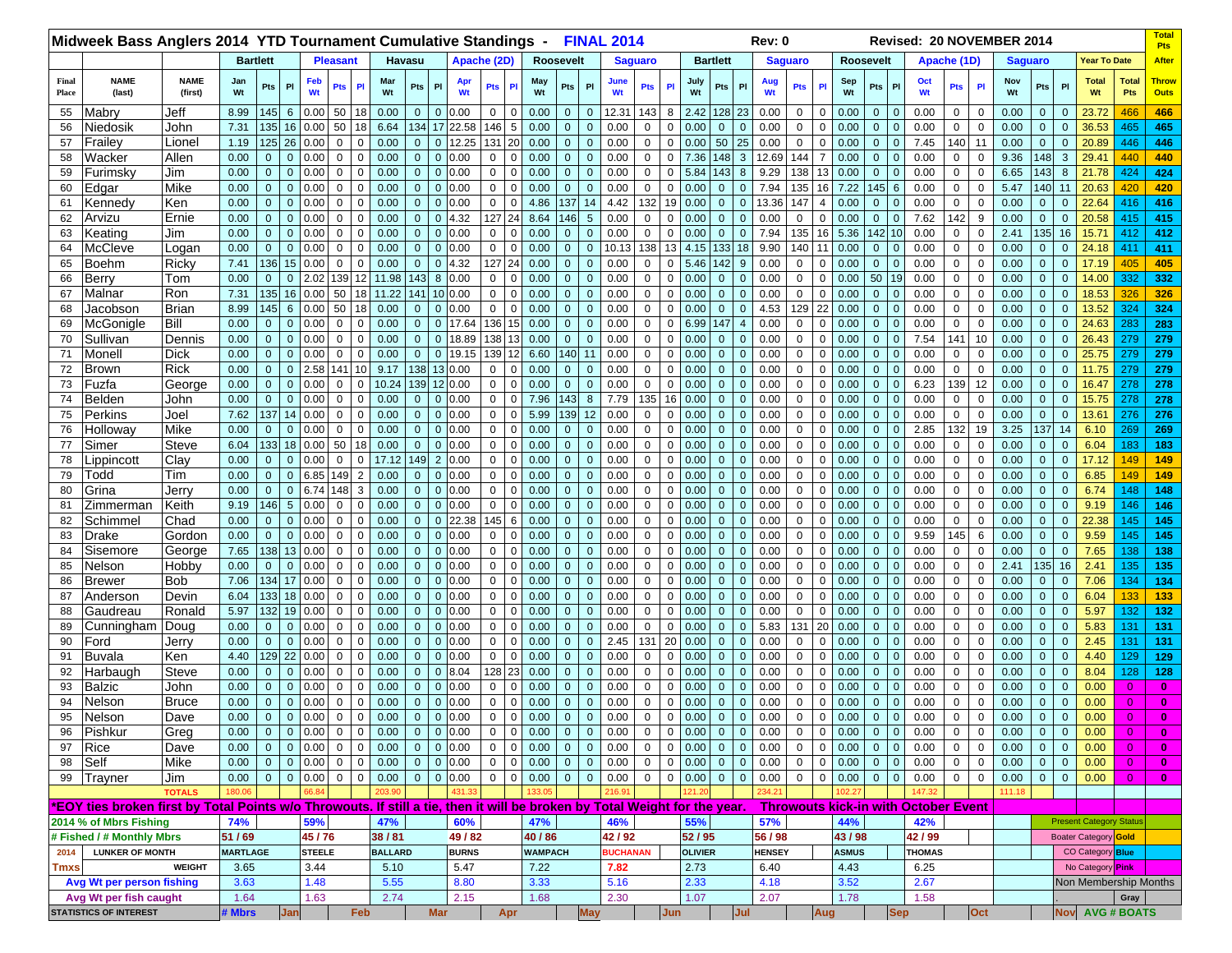|                | Midweek Bass Anglers 2014 YTD Tournament Cumulative Standings - FINAL 2014                                                 |                        |                                                  |                                                            |                        |                                              |                |                                                        |                    |                              |                               |                    |                            |                  |                 |                                                                | Rev: 0               |                |                  |               |                               |                                             |                            |                                | Revised: 20 NOVEMBER 2014 |                                  |                                  |                                |                | <b>Total</b><br><b>Pts</b>  |
|----------------|----------------------------------------------------------------------------------------------------------------------------|------------------------|--------------------------------------------------|------------------------------------------------------------|------------------------|----------------------------------------------|----------------|--------------------------------------------------------|--------------------|------------------------------|-------------------------------|--------------------|----------------------------|------------------|-----------------|----------------------------------------------------------------|----------------------|----------------|------------------|---------------|-------------------------------|---------------------------------------------|----------------------------|--------------------------------|---------------------------|----------------------------------|----------------------------------|--------------------------------|----------------|-----------------------------|
|                |                                                                                                                            |                        | <b>Bartlett</b>                                  | <b>Pleasant</b>                                            |                        | <b>Havasu</b>                                | Apache (2D)    |                                                        |                    | <b>Roosevelt</b>             |                               |                    | <b>Saguaro</b>             |                  | <b>Bartlett</b> |                                                                |                      | <b>Saguaro</b> |                  |               | <b>Roosevelt</b>              |                                             | Apache (1D)                |                                |                           | <b>Saguaro</b>                   |                                  | <b>Year To Date</b>            |                | <b>After</b>                |
| Final<br>Place | <b>NAME</b><br>(last)                                                                                                      | <b>NAME</b><br>(first) | Jan<br>Pts<br>Wt                                 | Feb<br>P<br>Pts<br>Wt                                      | Mar<br>PI<br>Wt        | Pts<br><b>PI</b>                             | Apr<br>Wt      | PI<br>Pts                                              | May<br>Wt          | Pts                          | P                             | June<br>Wt         | Pts                        | PI               | July<br>Wt      | Pts<br>PI                                                      | Aug<br>Wt            | Pts            | <b>PI</b>        | Sep<br>Wt     | Pts                           | Oct<br>PI<br>Wt                             | Pts                        | P1                             | Nov<br>Wt                 | Pts                              | PI                               | <b>Total</b><br>Wt             | Total<br>Pts   | <b>Throw</b><br><b>Outs</b> |
| 55             | Mabry                                                                                                                      | Jeff                   | 8.99                                             | 50<br>145 6 0.00                                           | 18<br>0.00             | $\mathbf{0}$<br>$\overline{0}$               | 0.00           | $\overline{0}$<br>$\mathbf 0$                          | 0.00               | $\mathbf 0$                  | $\overline{0}$                | 12.31              | 143                        | 8                | 2.42            | 128<br>23                                                      | 0.00                 | 0              | 0                | 0.00          | $\mathbf 0$                   | 0.00<br>$\Omega$                            | $\mathbf{0}$               | $\mathbf 0$                    | 0.00                      | $\overline{0}$                   | $\overline{0}$                   | 23.72                          | 466            | 466                         |
| 56             | Niedosik                                                                                                                   | John                   | 7.31<br>135                                      | 50<br>16<br>0.00                                           | 6.64<br>18             | 134 17 22.58                                 |                | 146<br>$\sqrt{5}$                                      | 0.00               | $\mathbf{0}$                 | $\overline{0}$                | 0.00               | $\mathbf 0$                | $\mathbf 0$      | 0.00            | $\overline{0}$<br>$\mathbf{0}$                                 | 0.00                 | 0              | 0                | 0.00          | $\overline{0}$                | 0.00<br>$\mathbf 0$                         | 0                          | $\mathbf 0$                    | 0.00                      | $\overline{0}$                   | $\mathbf 0$                      | 36.53                          | 465            | 465                         |
| 57             | Frailey                                                                                                                    | Lionel                 | 1.19                                             | 125 26 0.00<br>$\mathbf 0$                                 | $\mathbf 0$<br>0.00    | $\mathbf{0}$                                 | $0$ 12.25      | 131<br>20                                              | 0.00               | $\mathbf{0}$                 | $\mathbf{0}$                  | 0.00               | $\mathbf 0$                | $\mathbf 0$      | 0.00            | 50<br>25                                                       | 0.00                 | 0              | 0                | 0.00          | $\mathbf 0$                   | 7.45<br>$\Omega$                            | 140                        | 11                             | 0.00                      | $\overline{0}$                   | $\overline{0}$                   | 20.89                          | 446            | 446                         |
| 58             | Wacker                                                                                                                     | Allen                  | 0.00<br>$\overline{0}$                           | 0.00<br>$\mathbf 0$<br>$\overline{0}$                      | $\mathbf 0$<br>0.00    | $\mathbf 0$                                  | 0 0.00         | $\mathbf 0$<br>$\mathbf 0$                             | 0.00               | $\mathbf{0}$                 | $\mathbf 0$                   | 0.00               | $\mathbf 0$                | $\mathbf 0$      | 7.36            | 148<br>$\mathbf{3}$                                            | 12.69                | 144            | $\overline{7}$   | 0.00          | $\mathbf 0$                   | 0.00<br>$\mathbf 0$                         | 0                          | $\mathbf 0$                    | 9.36                      | 148                              | $\overline{\mathbf{3}}$          | 29.41                          | 440            | 440                         |
| 59             | Furimsky                                                                                                                   | Jim                    | 0.00<br>$\overline{0}$                           | 0.00<br>$\overline{0}$<br>0                                | 0.00<br>$\mathbf{0}$   | $\overline{0}$                               | 0 0.00         | $\mathbf{0}$<br>$\Omega$                               | 0.00               | $\mathbf{0}$                 | $\mathbf 0$                   | 0.00               | 0                          | $\mathbf 0$      | 5.84            | 143<br>8                                                       | 9.29                 | 138            | 13               | 0.00          | $\Omega$                      | $\mathbf 0$<br>0.00                         | $\mathbf{0}$               | $\mathbf 0$                    | 6.65                      | 143                              | 8                                | 21.78                          | 424            | 424                         |
| 60             | Edgar                                                                                                                      | Mike                   | 0.00<br>$\Omega$                                 | 0.00<br>$\mathbf{0}$<br>0                                  | 0.00<br>$\mathbf 0$    | $\mathbf 0$<br>$\mathbf{0}$                  | 0.00           | $\mathbf 0$<br>$\Omega$                                | 0.00               | $\Omega$                     | $\overline{0}$                | 0.00               | $\mathbf 0$                | $\Omega$         | 0.00            | $\mathbf 0$<br>$\mathbf{0}$                                    | 7.94                 | 135            | 16               | 7.22          | 145                           | 0.00<br>6                                   | $\mathbf{0}$               | $\Omega$                       | 5.47                      | 140                              | 11                               | 20.63                          | 420            | 420                         |
| 61             | Kennedy                                                                                                                    | Ken                    | 0.00<br>$\mathbf{0}$                             | 0.00<br>0<br>$\overline{0}$                                | 0.00<br>$\mathbf 0$    | $\mathbf 0$                                  | $0\,0.00$      | $\mathbf 0$<br>0                                       | 4.86               |                              | $137$ 14                      | 4.42               | 132                        | 19               | 0.00            | $\mathbf{0}$<br>$\overline{0}$                                 | 13.36                | 147            | 4                | 0.00          | $\mathbf 0$                   | 0.00<br>$\mathbf 0$                         | $\mathbf 0$                | $\mathbf 0$                    | 0.00                      | $\overline{0}$                   | $\mathbf 0$                      | 22.64                          | 416            | 416                         |
| 62             | Arvizu                                                                                                                     | Ernie                  | 0.00<br>$\overline{0}$                           | 0.00<br>$\mathbf 0$<br>$\overline{0}$                      | 0.00<br>$\mathbf 0$    | $\mathbf 0$                                  | $0 \vert 4.32$ | 127<br>24                                              | 8.64               | 146                          | $5\phantom{.0}$               | 0.00               | $\mathbf 0$                | $\mathbf 0$      | 0.00            | $\overline{0}$<br>$\mathbf{0}$                                 | 0.00                 | $\mathbf 0$    | $\mathbf 0$      | 0.00          | $\overline{0}$                | 7.62<br>$\mathbf 0$                         | 142                        | 9                              | 0.00                      | $\overline{0}$                   | $\overline{0}$                   | 20.58                          | 415            | 415                         |
| 63             | Keating                                                                                                                    | Jim                    | 0.00<br>$\overline{0}$                           | 0.00<br>$\overline{0}$<br>0                                | $\mathbf{0}$<br>0.00   | $\mathbf 0$                                  | 0 0.00         | $\mathbf 0$<br>$\Omega$                                | 0.00               | $\mathbf{0}$                 | $\mathbf 0$                   | 0.00               | $\mathbf 0$                | $\mathbf 0$      | 0.00            | $\mathbf 0$<br>$\mathbf{0}$                                    | 7.94                 | 135            | 16               | 5.36          | 142                           | 10<br>0.00                                  | $\mathbf{0}$               | $\mathbf 0$                    | 2.41                      | 135                              | 16                               | 15.71                          | 412            | 412                         |
| 64             | McCleve                                                                                                                    | Logan                  | 0.00<br>$\mathbf{0}$                             | 0.00<br>$\mathbf{0}$<br>0                                  | 0.00                   | $\mathbf 0$<br>$\mathbf{0}$                  | 0.00           | $\mathbf 0$<br>$\mathbf 0$                             | 0.00               | $\mathbf{0}$                 | $\overline{0}$                | 10.13              | 138                        | 13               | 4.15            | 133<br>18                                                      | 9.90                 | 140            |                  | 0.00          | $\overline{0}$                | 0.00<br>$\Omega$                            | $\mathbf{0}$               | $\mathbf 0$                    | 0.00                      | $\overline{0}$                   | $\mathbf 0$                      | 24.18                          | 411            | 411                         |
| 65             | <b>Boehm</b>                                                                                                               | Ricky                  | 7.41                                             | 136 15 0.00<br>0                                           | 0.00<br>$\mathbf 0$    | $\mathbf 0$                                  | $0 \vert 4.32$ | 127<br>24                                              | 0.00               | $\overline{0}$               | $\mathbf 0$                   | 0.00               | $\mathbf{0}$               | $\mathbf 0$      | 5.46            | 142<br>9                                                       | 0.00                 | 0              | $\mathbf 0$      | 0.00          | $\overline{0}$                | 0.00<br>$\Omega$                            | $\mathbf 0$                | $\mathbf 0$                    | 0.00                      | $\overline{0}$                   | $\overline{0}$                   | 17.19                          | 405            | 405                         |
| 66             | Berry                                                                                                                      | Tom                    | 0.00<br>$\mathbf{0}$                             | 2.02<br>139<br>$\overline{0}$                              | 12<br>11.98            | 143                                          | 8 0.00         | $\mathbf 0$<br>$\mathbf 0$                             | 0.00               | $\mathbf{0}$                 | $\mathbf 0$                   | 0.00               | $\mathbf 0$                | 0                | 0.00            | $\mathbf{0}$<br>$\overline{0}$                                 | 0.00                 | $\mathbf 0$    | $\mathbf 0$      | 0.00          | 50                            | 0.00<br>19                                  | $\mathbf 0$                | 0                              | 0.00                      | $\overline{0}$                   | $\mathbf 0$                      | 14.00                          | 332            | 332                         |
| 67             | Malnar                                                                                                                     | Ron                    | 7.31                                             | 135 16 0.00<br>50                                          | 18<br>11.22            | 141                                          | 10 0.00        | $\mathbf{0}$<br>$\Omega$                               | 0.00               | $\mathbf{0}$                 | $\mathbf 0$                   | 0.00               | 0                          | $\mathbf 0$      | 0.00            | $\mathbf 0$<br>$\Omega$                                        | 0.00                 | 0              | $\mathbf 0$      | 0.00          | $\overline{0}$                | 0.00<br>$\mathbf 0$                         | $\mathbf{0}$               | $\mathbf 0$                    | 0.00                      | $\overline{0}$                   | $\overline{0}$                   | 18.53                          | 326            | 326                         |
| 68             | Jacobson                                                                                                                   | <b>Brian</b>           | 8.99<br>145                                      | 0.00<br>50<br>6                                            | 18<br>0.00             | $\mathbf 0$<br>$\mathbf{0}$                  | 0.00           | $\mathbf 0$<br>$\Omega$                                | 0.00               | $\Omega$                     | $\overline{0}$                | 0.00               | $\mathbf 0$                | $\Omega$         | 0.00            | $\Omega$                                                       | 4.53                 | 129            | 22               | 0.00          | $\overline{0}$                | 0.00<br>$\Omega$                            | $\mathbf{0}$               | $\Omega$                       | 0.00                      | $\overline{0}$                   | $\overline{0}$                   | 13.52                          | 324            | 324                         |
| 69             | McGonigle                                                                                                                  | Bill                   | 0.00<br>$\mathbf{0}$                             | 0.00<br>$\mathbf{0}$<br>$\mathbf 0$                        | 0.00<br>$\mathbf{0}$   | $\mathbf 0$                                  | 0 17.64        | 136<br>15                                              | 0.00               | $\overline{0}$               | $\mathbf 0$                   | 0.00               | $\mathbf 0$                | $\mathbf 0$      | 6.99            | 147<br>$\overline{4}$                                          | 0.00                 | 0              | 0                | 0.00          | $\mathbf 0$                   | 0.00<br>$\mathbf{0}$                        | $\mathbf{0}$               | $\mathbf 0$                    | 0.00                      | $\overline{0}$                   | $\mathbf 0$                      | 24.63                          | 283            | 283                         |
| 70             | Sullivan                                                                                                                   | Dennis                 | 0.00<br>$\overline{0}$                           | 0.00<br>$\mathbf 0$<br>$\mathbf{0}$                        | $\mathbf 0$<br>0.00    | $\mathbf{0}$                                 | 0 18.89        | 138<br>13                                              | 0.00               | $\mathbf{0}$                 | $\mathbf{0}$                  | 0.00               | $\mathbf 0$                | $\mathbf 0$      | 0.00            | $\overline{0}$<br>$\mathbf{0}$                                 | 0.00                 | 0              | $\mathbf 0$      | 0.00          | $\overline{0}$                | 7.54<br>$\mathbf 0$                         | 141                        | 10                             | 0.00                      | $\overline{0}$                   | $\mathbf 0$                      | 26.43                          | 279            | 279                         |
| 71             | Monell                                                                                                                     | <b>Dick</b>            | 0.00<br>$\overline{0}$                           | 0.00<br>$\mathbf 0$<br>$\overline{0}$                      | $\mathbf 0$<br>0.00    | $\mathbf{0}$                                 | 0 19.15        | 139<br>12                                              | 6.60               | 140 11                       |                               | 0.00               | $\mathbf 0$                | $\mathbf 0$      | 0.00            | $\overline{0}$<br>$\mathbf 0$                                  | 0.00                 | 0              | $\mathbf 0$      | 0.00          | $\mathbf 0$                   | 0.00<br>$\mathbf{0}$                        | $\mathbf{0}$               | $\mathbf 0$                    | 0.00                      | $\overline{0}$                   | $\overline{0}$                   | 25.75                          | 279            | 279                         |
| 72             | <b>Brown</b>                                                                                                               | <b>Rick</b>            | 0.00<br>$\overline{0}$<br>$\Omega$               | 2.58<br>141<br>$\mathbf{0}$                                | 10<br>9.17             | 138 13 0.00                                  |                | $\Omega$<br>$\mathbf{0}$                               | 0.00               | $\mathbf{0}$<br>$\Omega$     | $\mathbf 0$                   | 0.00               | $\mathbf 0$                | 0                | 0.00            | $\mathbf 0$<br>$\mathbf{0}$                                    | 0.00                 | 0              | $\mathbf 0$      | 0.00          | $\mathbf 0$                   | 0.00<br>$\Omega$                            | $\mathbf 0$                | $\mathbf 0$                    | 0.00                      | $\overline{0}$                   | $\overline{0}$                   | 11.75                          | 279            | 279                         |
| 73             | Fuzfa                                                                                                                      | George                 | 0.00                                             | 0.00<br>$\overline{0}$<br>0                                | 10.24<br>$\mathbf{0}$  | 139 12 0.00                                  |                | $\mathbf 0$<br>$\Omega$                                | 0.00               |                              | $\overline{0}$                | 0.00               | $\mathbf 0$                | $\mathbf 0$      | 0.00            | $\Omega$<br>$\mathbf 0$                                        | 0.00                 | $\Omega$       | 0                | 0.00          | $\overline{0}$                | 6.23<br>$\Omega$                            | 139                        | 12                             | 0.00                      | $\overline{0}$                   | $\overline{0}$                   | 16.47                          | 278            | 278                         |
| 74             | Belden                                                                                                                     | John                   | 0.00<br>$\overline{0}$                           | 0.00<br>$\overline{0}$<br>$\mathbf{0}$                     | 0.00<br>$\mathbf{0}$   | $\mathbf 0$                                  | $0\,0.00$      | $\mathbf 0$<br>0                                       | 7.96               | 143                          | 8                             | 7.79               | 135                        | 16               | 0.00            | $\overline{0}$<br>$\mathbf 0$                                  | 0.00                 | 0              | $\mathbf 0$      | 0.00          | $\mathbf 0$                   | 0.00<br>$\Omega$                            | $\mathbf 0$                | $\mathbf 0$                    | 0.00                      | $\overline{0}$                   | $\mathbf 0$                      | 15.75                          | 278            | 278                         |
| 75             | Perkins                                                                                                                    | Joel                   | 7.62<br>137 14                                   | 0.00<br>$\mathbf 0$                                        | $\mathbf 0$<br>0.00    | $\Omega$                                     | 0 0.00         | $\mathbf{0}$<br>$\Omega$                               | 5.99               |                              | 139 12                        | 0.00               | 0                          | $\Omega$         | 0.00            | $\mathbf 0$<br>$\Omega$                                        | 0.00                 | 0              | $\mathbf 0$      | 0.00          | $\overline{0}$                | 0.00<br>$\mathbf 0$                         | $\mathbf 0$                | $\mathbf 0$                    | 0.00                      | $\overline{0}$                   | $\overline{0}$                   | 13.61                          | 276            | 276                         |
| 76             | Holloway                                                                                                                   | Mike                   | 0.00<br>$\mathbf{0}$                             | $\mathbf{0}$<br>0.00<br>0                                  | $\mathbf{0}$<br>0.00   | $\mathbf 0$<br>$\mathbf{0}$                  | 0.00           | $\mathbf 0$<br>$\Omega$                                | 0.00               | $\mathbf{0}$                 | $\mathbf 0$                   | 0.00               | 0                          | 0                | 0.00            | $\mathbf{0}$<br>$\mathbf 0$                                    | 0.00                 | 0              | $\mathbf 0$      | 0.00          | $\mathbf 0$                   | 2.85<br>$\Omega$                            | 132                        | 19                             | 3.25                      | 137                              | 14                               | 6.10                           | 269            | 269                         |
| 77             | Simer                                                                                                                      | <b>Steve</b>           | 6.04                                             | 133 18 0.00<br>50                                          | 18<br>0.00             | $\Omega$                                     | 0 0.00         | $\mathbf 0$<br>$\mathbf 0$                             | 0.00               | $\Omega$                     | $\mathbf 0$                   | 0.00               | $\mathbf 0$                | $\mathbf 0$      | 0.00            | $\mathbf{0}$<br>$\bullet$                                      | 0.00                 | 0              | $\mathbf 0$      | 0.00          | $\overline{0}$                | 0.00<br>$\mathbf 0$                         | 0                          | $\Omega$                       | 0.00                      | $\overline{0}$                   | $\mathbf 0$                      | 6.04                           | 183            | 183                         |
| 78             | Lippincott                                                                                                                 | Clay                   | 0.00<br>$\overline{0}$                           | 0.00<br>$\mathbf 0$<br>$\overline{0}$                      | $\mathbf 0$<br>17.12   | 149 2 0.00                                   |                | $\mathbf 0$<br>$\mathbf{0}$<br>$\mathbf 0$<br>$\Omega$ | 0.00               | $\mathbf{0}$                 | $\mathbf 0$                   | 0.00               | $\mathbf 0$                | $\mathbf 0$      | 0.00            | $\overline{0}$<br>$\mathbf{0}$                                 | 0.00                 | 0              | 0                | 0.00          | $\overline{0}$                | 0.00<br>$\Omega$                            | $\mathbf 0$<br>$\mathbf 0$ | $\mathbf 0$                    | 0.00                      | $\overline{0}$                   | $\overline{0}$                   | 17.12                          | 149            | 149                         |
| 79<br>80       | Todd<br>Grina                                                                                                              | Tim<br>Jerry           | 0.00<br>$\overline{0}$<br>0.00<br>$\overline{0}$ | 6.85<br>149<br>$\mathbf{0}$<br>6.74<br>148<br>$\mathbf{0}$ | 2<br>0.00<br>0.00<br>3 | $\overline{0}$<br>$\mathbf 0$<br>$\mathbf 0$ | 0.00<br>0 0.00 | $\mathbf{0}$<br>$\Omega$                               | 0.00<br>0.00       | $\mathbf{0}$<br>$\mathbf{0}$ | $\mathbf 0$<br>$\overline{0}$ | 0.00<br>0.00       | $\mathbf 0$<br>$\mathbf 0$ | $\mathbf 0$<br>0 | 0.00<br>0.00    | $\mathbf{0}$<br>$\mathbf{0}$<br>$\overline{0}$<br>$\mathbf{0}$ | 0.00<br>0.00         | 0<br>0         | $\mathbf 0$<br>0 | 0.00<br>0.00  | $\mathbf 0$<br>$\overline{0}$ | 0.00<br>$\mathbf 0$<br>$\mathbf 0$<br>0.00  | 0                          | 0<br>$\mathbf 0$               | 0.00<br>0.00              | $\overline{0}$<br>$\overline{0}$ | $\overline{0}$<br>$\overline{0}$ | 6.85<br>6.74                   | 149<br>148     | 149<br>148                  |
| 81             | Zimmerman                                                                                                                  | Keith                  | 9.19<br> 46                                      | $5\overline{5}$<br>0.00<br>0                               | 0.00<br>$\Omega$       | $\mathbf 0$<br>$\mathbf 0$                   | 0.00           | $\mathbf 0$<br>$\Omega$                                | 0.00               | $\Omega$                     | $\overline{0}$                | 0.00               | $\mathbf 0$                | $\Omega$         | 0.00            | $\mathbf 0$                                                    | 0.00                 | $\Omega$       | $\mathbf 0$      | 0.00          | $\overline{0}$                | 0.00<br>$\Omega$                            | $\mathbf{0}$               | $\Omega$                       | 0.00                      | $\overline{0}$                   | $\overline{0}$                   | 9.19                           | 146            | 146                         |
| 82             | Schimmel                                                                                                                   | Chad                   | 0.00<br>$\mathbf{0}$                             | $\mathbf 0$<br>0.00<br>$\overline{0}$                      | 0.00<br>0              | $\mathbf 0$                                  | $0$ 22.38      | 145<br>6                                               | 0.00               | $\mathbf{0}$                 | $\mathbf 0$                   | 0.00               | $\mathbf 0$                | 0                | 0.00            | $\overline{0}$<br>$\mathbf{0}$                                 | 0.00                 | 0              | 0                | 0.00          | $\mathbf 0$                   | 0.00<br>$\mathbf 0$                         | $\mathbf 0$                | $\mathbf 0$                    | 0.00                      | $\overline{0}$                   | $\mathbf 0$                      | 22.38                          | 145            | 145                         |
| 83             | Drake                                                                                                                      | Gordon                 | 0.00<br>$\overline{0}$                           | 0.00<br>$\mathbf 0$<br>$\overline{0}$                      | $\mathbf 0$<br>0.00    | $\mathbf 0$                                  | $0\,0.00$      | $\mathbf{0}$<br>$\Omega$                               | 0.00               | $\mathbf{0}$                 | $\mathbf{0}$                  | 0.00               | $\mathbf 0$                | $\mathbf 0$      | 0.00            | $\mathbf{0}$<br>$\mathbf{0}$                                   | 0.00                 | 0              | $\mathbf{0}$     | 0.00          | $\overline{0}$                | 9.59<br>$\mathbf 0$                         | 145                        | 6                              | 0.00                      | $\overline{0}$                   | $\overline{0}$                   | 9.59                           | 145            | 145                         |
| 84             | Sisemore                                                                                                                   | George                 | 138 13<br>7.65                                   | 0.00<br>0                                                  | $\mathbf{0}$<br>0.00   | $\mathbf 0$                                  | 0 0.00         | $\mathbf 0$<br>$\Omega$                                | 0.00               | $\mathbf{0}$                 | $\mathbf 0$                   | 0.00               | 0                          | 0                | 0.00            | $\mathbf 0$<br>$\mathbf{0}$                                    | 0.00                 | 0              | 0                | 0.00          | $\mathbf 0$                   | $\mathbf 0$<br>0.00                         | $\mathbf{0}$               | $\mathbf 0$                    | 0.00                      | $\mathbf{0}$                     | $\overline{0}$                   | 7.65                           | 138            | 138                         |
| 85             | Nelson                                                                                                                     | Hobby                  | 0.00<br>$\mathbf 0$                              | 0.00<br>$\mathbf{0}$<br>0                                  | 0.00<br>0              | $\mathbf 0$                                  | 0 0.00         | $\mathbf 0$<br>$\mathbf 0$                             | 0.00               | $\Omega$                     | $\overline{0}$                | 0.00               | $\mathbf 0$                | $\mathbf 0$      | 0.00            | $\mathbf 0$<br>$\mathbf{0}$                                    | 0.00                 | 0              | 0                | 0.00          | $\overline{0}$                | 0.00<br>$\Omega$                            | $\mathbf{0}$               | $\Omega$                       | 2.41                      | 135                              | 16                               | 2.41                           | 135            | 135                         |
| 86             | <b>Brewer</b>                                                                                                              | <b>Bob</b>             | 7.06<br>134 17                                   | 0.00<br>$\mathbf 0$                                        | 0.00<br>$\Omega$       | $\mathbf 0$                                  | 0 0.00         | $\mathbf 0$<br>$\Omega$                                | 0.00               | $\overline{0}$               | $\mathbf 0$                   | 0.00               | $\mathbf 0$                | $\mathbf 0$      | 0.00            | $\overline{0}$<br>$\Omega$                                     | 0.00                 | 0              | 0                | 0.00          | $\overline{0}$                | 0.00<br>$\Omega$                            | $\mathbf{0}$               | $\mathbf 0$                    | 0.00                      | $\overline{0}$                   | $\overline{0}$                   | 7.06                           | 134            | 134                         |
| 87             | Anderson                                                                                                                   | Devin                  | 6.04                                             | 133 18 0.00<br>$\mathbf 0$                                 | 0.00<br>$\mathbf 0$    | $\mathbf 0$                                  | $0\,0.00$      | $\mathbf{0}$<br>$\mathbf 0$                            | 0.00               | $\mathbf{0}$                 | $\mathbf 0$                   | 0.00               | $\mathbf 0$                | $\mathbf 0$      | 0.00            | $\overline{0}$<br>$\mathbf{0}$                                 | 0.00                 | 0              | $\mathbf{0}$     | 0.00          | $\mathbf 0$                   | 0.00<br>$\mathbf 0$                         | $\mathbf 0$                | 0                              | 0.00                      | $\overline{0}$                   | $\mathbf 0$                      | 6.04                           | 133            | 133                         |
| 88             | Gaudreau                                                                                                                   | Ronald                 | 5.97                                             | 132 19 0.00<br>$\mathbf 0$                                 | 0.00<br>$\Omega$       | $\overline{0}$                               | 0 0.00         | $\mathbf 0$<br>$\Omega$                                | 0.00               | $\mathbf{0}$                 | $\mathbf 0$                   | 0.00               | $\mathbf 0$                | $\mathbf 0$      | 0.00            | $\overline{0}$                                                 | 0.00                 | 0              | $\mathbf 0$      | 0.00          | $\Omega$                      | $\mathbf 0$<br>0.00                         | $\mathbf{0}$               | $\Omega$                       | 0.00                      | $\overline{0}$                   | $\overline{0}$                   | 5.97                           | 132            | 132                         |
| 89             | Cunningham                                                                                                                 | Doug                   | 0.00<br>$\Omega$                                 | $\mathbf{0}$<br>0.00<br>0                                  | 0.00<br>0              | $\mathbf 0$<br>$\mathbf{0}$                  | 0.00           | $\mathbf 0$<br>$\Omega$                                | 0.00               | $\Omega$                     | $\overline{0}$                | 0.00               | $\mathbf 0$                | $\mathbf 0$      | 0.00            | $\mathbf 0$                                                    | 5.83                 | 131            | 20               | 0.00          | $\overline{0}$                | 0.00                                        | $\mathbf{0}$               | $\Omega$                       | 0.00                      | $\overline{0}$                   | $\overline{0}$                   | 5.83                           | 131            | 131                         |
| 90             | Ford                                                                                                                       | Jerry                  | 0.00<br>$\mathbf{0}$                             | 0.00<br>0<br>$\overline{0}$                                | 0.00<br>$\mathbf 0$    | $\mathbf 0$                                  | 0 0.00         | $\mathbf 0$<br>0                                       | 0.00               | $\mathbf{0}$                 | $\mathbf 0$                   | 2.45               | 131 20                     |                  | 0.00            | $\mathbf{0}$<br>$\overline{0}$                                 | 0.00                 | 0              | 0                | 0.00          | $\mathbf 0$                   | 0.00<br>$\mathbf 0$                         | $\mathbf{0}$               | $\mathbf 0$                    | 0.00                      | $\overline{0}$                   | $\mathbf 0$                      | 2.45                           | 131            | 131                         |
| 91             | Buvala                                                                                                                     | Ken                    | 4.40                                             | 129 22 0.00<br>$\mathbf 0$                                 | $\mathbf 0$<br>0.00    | $\mathbf{0}$                                 | 0 0.00         | $\mathbf 0$<br>$\Omega$                                | 0.00               | $\mathbf{0}$                 | $\mathbf 0$                   | 0.00               | $\mathbf 0$                | $\mathbf 0$      | 0.00            | $\overline{0}$<br>$\mathbf{0}$                                 | 0.00                 | $\mathbf{0}$   | $\mathbf 0$      | 0.00          | $\overline{0}$                | 0.00<br>$\mathbf 0$                         | $\mathbf 0$                | $\mathbf 0$                    | 0.00                      | $\overline{0}$                   | $\overline{0}$                   | 4.40                           | 129            | 129                         |
| 92             | Harbaugh                                                                                                                   | <b>Steve</b>           | 0.00<br>$\overline{0}$                           | 0.00<br>$\overline{0}$<br>0                                | $\mathbf{0}$<br>0.00   | $\mathbf 0$                                  | 0 8.04         | 128<br>23                                              | 0.00               | $\mathbf{0}$                 | $\mathbf 0$                   | 0.00               | 0                          | 0                | 0.00            | $\mathbf 0$<br>$\overline{0}$                                  | 0.00                 | 0              | 0                | 0.00          | $\mathbf 0$                   | 0.00<br>$\mathbf 0$                         | 0                          | $\mathbf 0$                    | 0.00                      | $\overline{0}$                   | $\overline{0}$                   | 8.04                           | 128            | 128                         |
| 93             | <b>Balzic</b>                                                                                                              | John                   | 0.00<br>$\overline{0}$                           | 0.00<br>$\mathbf{0}$<br>$\mathbf 0$                        | 0.00<br>$\mathbf 0$    | $\mathbf 0$                                  | 0 0.00         | $\mathbf 0$<br>$\Omega$                                | 0.00               | $\mathbf{0}$                 | $\overline{0}$                | 0.00               | $\mathbf 0$                | $\Omega$         | 0.00            | $\overline{0}$                                                 | 0.00                 | 0              | $\mathbf 0$      | 0.00          | $\overline{0}$                | 0.00<br>$\Omega$                            | $\mathbf{0}$               | $\Omega$                       | 0.00                      | $\overline{0}$                   | $\mathbf{0}$                     | 0.00                           | $\Omega$       | $\mathbf{0}$                |
| 94             | Nelson                                                                                                                     | <b>Bruce</b>           | 0.00<br>$\overline{0}$                           | $\overline{0}$<br>0.00<br>0                                | 0.00<br>$\mathbf{0}$   | $\mathbf 0$                                  | 0 0.00         | $\mathbf 0$<br>$\mathbf 0$                             | 0.00               | $\mathbf{0}$                 | $\mathbf 0$                   | 0.00               | $\mathbf{0}$               | 0                | 0.00            | $\overline{0}$<br>$\mathbf{0}$                                 | 0.00                 | 0              | 0                | 0.00          | $\mathbf 0$                   | 0.00<br>$\mathbf 0$                         | 0                          | $\mathbf 0$                    | 0.00                      | $\mathbf{0}$                     | $\overline{0}$                   | 0.00                           | $\Omega$       | $\mathbf{0}$                |
| 95             | Nelson                                                                                                                     | Dave                   | $\overline{0}$<br>0.00                           | $0$ 0.00<br>$\mathbf 0$                                    | $\mathbf 0$<br>0.00    | $\overline{0}$                               | 0 0.00         | $\overline{0}$<br>$\mathbf 0$                          | 0.00               | $\mathbf{0}$                 | $\mathbf 0$                   | 0.00               | $\mathbf 0$                | $\mathbf 0$      | 0.00            | $\overline{0}$<br>$\overline{0}$                               | 0.00                 | $\mathbf 0$    | $\circ$          | 0.00          | $\mathbf{0}$                  | $\mathbf 0$<br>0.00                         | $\overline{0}$             | $\mathbf 0$                    | 0.00                      | $\overline{0}$                   | $\mathbf 0$                      | 0.00                           | $\overline{0}$ | $\overline{0}$              |
| 96             | Pishkur                                                                                                                    | Greg                   | 0.00<br>$\mathbf{0}$                             | 0 0.00 0 0 0.00 0                                          |                        |                                              |                | $0 0 0.00 0 0$                                         |                    |                              |                               | 0.00               | $\overline{0}$             |                  |                 |                                                                | $0 \t 0 \t 0.00$     | $\mathbf 0$    |                  | $0 \mid 0.00$ | $\mathbf{0}$                  | 0.00<br>$\mathbf{0}$                        | $\mathbf 0$                | $\mathbf 0$                    | 0.00                      | $\overline{0}$                   | $\mathbf{0}$                     | 0.00                           | $\overline{0}$ | $\mathbf{0}$                |
| 97             | Rice                                                                                                                       | Dave                   | 0.00<br>$\overline{0}$                           | $0\,0.00$<br>$\overline{0}$                                | 0.00<br>$\overline{0}$ | $\overline{0}$                               | $0\,0.00$      | $\mathbf 0$<br>$\overline{0}$                          | 0.00               | $\overline{0}$               | $\overline{0}$                | 0.00               | $\overline{0}$             | $\mathbf 0$      | 0.00            | $\overline{0}$<br>$\overline{0}$                               | 0.00                 | $\mathbf 0$    |                  | $0\quad 0.00$ | $\overline{0}$                | 0.00<br>$\mathbf 0$                         | $\mathbf 0$                | $\mathbf 0$                    | 0.00                      | $\overline{0}$                   | $\overline{0}$                   | 0.00                           | $\overline{0}$ | $\mathbf{0}$                |
| 98             | Self                                                                                                                       | Mike                   | 0.00<br>$\overline{0}$                           | 0 0.00 0                                                   | $0\quad 0.00$          | $\overline{0}$                               | 0 0.00         | $\overline{0}$<br>$\mathbf 0$                          | 0.00               | $0 \mid 0$                   |                               | 0.00               | $0 \t 0 \t 0.00$           |                  |                 | $\overline{0}$                                                 | $0\vert 0.00$        | $\overline{0}$ |                  | $0\quad 0.00$ | 0                             | 0.00<br>$\overline{0}$                      | $\mathbf{0}$               | $\mathbf{0}$                   | 0.00                      | $\overline{0}$                   | $\overline{0}$                   | 0.00                           | $\overline{0}$ | $\mathbf{0}$                |
|                | 99 Trayner                                                                                                                 | Jim                    | 0.00                                             | 0 0 0.00 0 0 0.00                                          |                        | $0 \t 0 \t 0.00$                             |                | $\overline{0}$                                         | $0\overline{0.00}$ | $0 \mid 0$                   |                               | 0.00               | $0 \t 0 \t 0.00$           |                  |                 |                                                                | $0 \mid 0 \mid 0.00$ | $\overline{0}$ |                  | $0\, 0.00$    | $0 \mid 0$                    | 0.00                                        |                            | $\overline{0}$<br>$\mathbf{0}$ | 0.00                      | $\overline{0}$                   | $\overline{0}$                   | 0.00                           | $\overline{0}$ | $\mathbf{0}$                |
|                |                                                                                                                            | <b>TOTALS</b>          | 180.06                                           |                                                            |                        |                                              | 431.33         |                                                        | 133.0              |                              |                               | 216.9 <sup>°</sup> |                            |                  |                 |                                                                | $234.2^{\circ}$      |                |                  | 102.2         |                               | 147.32                                      |                            |                                | 111.18                    |                                  |                                  |                                |                |                             |
|                | *EOY ties broken first by Total Points w/o Throwouts. If still a tie, then it will be broken by Total Weight for the year. |                        |                                                  |                                                            |                        |                                              |                |                                                        |                    |                              |                               |                    |                            |                  |                 |                                                                |                      |                |                  |               |                               | <b>Throwouts kick-in with October Event</b> |                            |                                |                           |                                  |                                  |                                |                |                             |
|                | 2014 % of Mbrs Fishing                                                                                                     |                        | 74%                                              | 59%                                                        | 47%                    |                                              | 60%            |                                                        | 47%                |                              |                               | 46%                |                            |                  | 55%             |                                                                | 57%                  |                |                  | 44%           |                               | 42%                                         |                            |                                |                           |                                  |                                  | <b>Present Category Status</b> |                |                             |
|                | # Fished / # Monthly Mbrs                                                                                                  |                        | 51/69                                            | 45/76                                                      | 38/81                  |                                              | 49 / 82        |                                                        | 40/86              |                              |                               | 42/92              |                            |                  | 52/95           |                                                                | 56 / 98              |                |                  | 43/98         |                               | 42/99                                       |                            |                                |                           |                                  |                                  | Boater Category Gold           |                |                             |
| 2014           | <b>LUNKER OF MONTH</b>                                                                                                     |                        | <b>MARTLAGE</b>                                  | <b>STEELE</b>                                              | <b>BALLARD</b>         |                                              | <b>BURNS</b>   |                                                        | <b>WAMPACH</b>     |                              |                               | <b>BUCHANAN</b>    |                            |                  | <b>OLIVIER</b>  |                                                                | <b>HENSEY</b>        |                |                  | <b>ASMUS</b>  |                               | <b>THOMAS</b>                               |                            |                                |                           |                                  |                                  | CO Category Blue               |                |                             |
| Tmxs           |                                                                                                                            | <b>WEIGHT</b>          | 3.65                                             | 3.44                                                       | 5.10                   |                                              | 5.47           |                                                        | 7.22               |                              |                               | 7.82               |                            |                  | 2.73            |                                                                | 6.40                 |                |                  | 4.43          |                               | 6.25                                        |                            |                                |                           |                                  |                                  | No Category Pink               |                |                             |
|                | Avg Wt per person fishing                                                                                                  |                        | 3.63                                             | 1.48                                                       | 5.55                   |                                              | 8.80           |                                                        | 3.33               |                              |                               | 5.16               |                            |                  | 2.33            |                                                                | 4.18                 |                |                  | 3.52          |                               | 2.67                                        |                            |                                |                           |                                  |                                  | Non Membership Months          |                |                             |
|                | Avg Wt per fish caught                                                                                                     |                        | 1.64                                             | 1.63                                                       | 2.74                   |                                              | 2.15           |                                                        | 1.68               |                              |                               | 2.30               |                            |                  | 1.07            |                                                                | 2.07                 |                |                  | 1.78          |                               | 1.58                                        |                            |                                |                           |                                  |                                  |                                | Gray           |                             |
|                | <b>STATISTICS OF INTEREST</b>                                                                                              |                        | # Mbrs                                           | Jan                                                        | Feb                    | <b>Mar</b>                                   |                | Apr                                                    |                    |                              | <b>May</b>                    |                    |                            | Jun              |                 | Jul                                                            |                      |                | Aug              |               |                               | <b>Sep</b>                                  |                            | Oct                            |                           |                                  |                                  | Nov AVG # BOATS                |                |                             |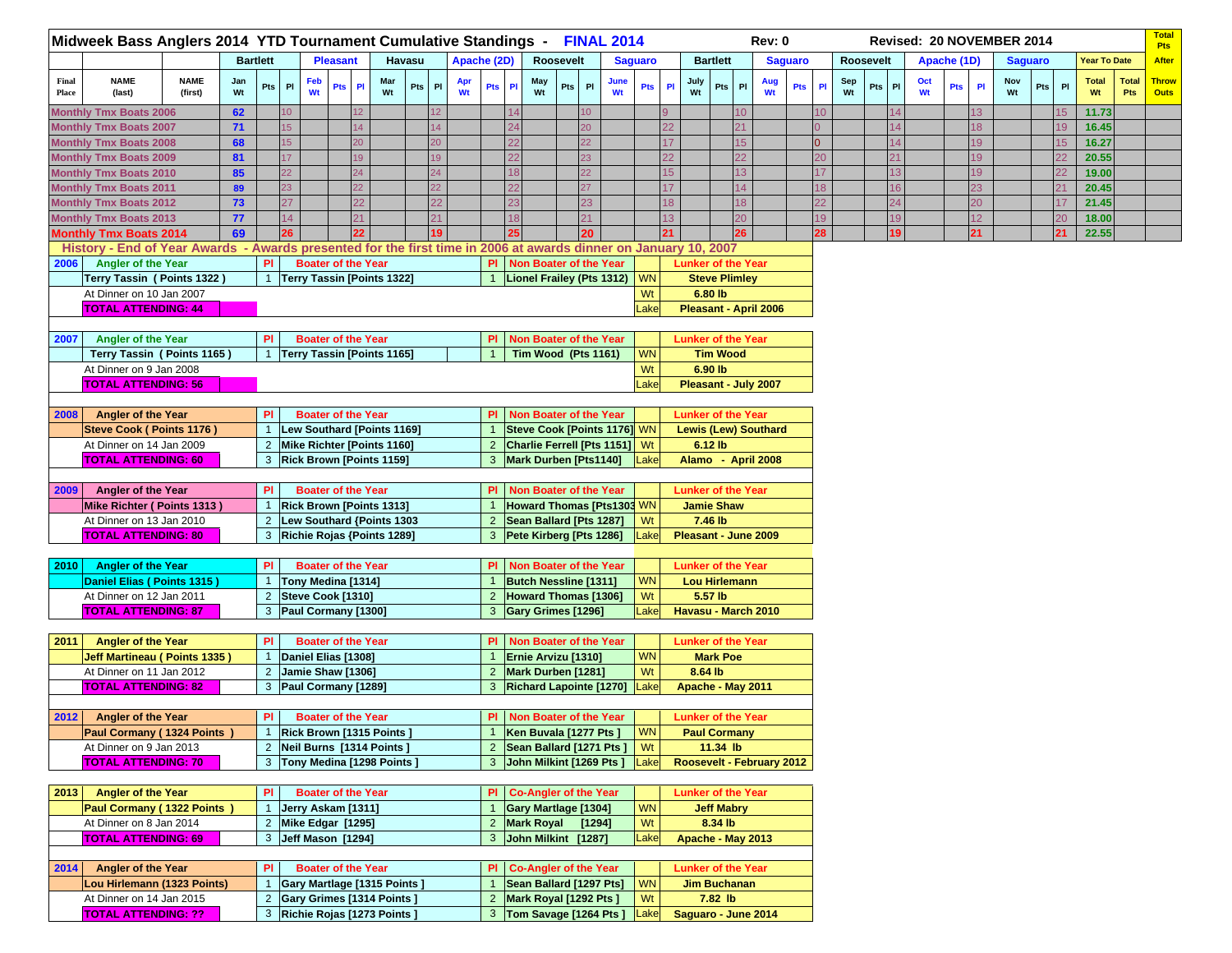|                | Midweek Bass Anglers 2014 YTD Tournament Cumulative Standings - FINAL 2014                                                                       |                        |           |                              |                           |                 |                                 |        |           |             |   |                              |           |                 |                                  |                  |                  |                                 | Rev: 0    |                |    |                  |        |                 |             |     |                 | Revised: 20 NOVEMBER 2014 |                |    |                    |                            | <b>Total</b><br><b>Pts</b>  |
|----------------|--------------------------------------------------------------------------------------------------------------------------------------------------|------------------------|-----------|------------------------------|---------------------------|-----------------|---------------------------------|--------|-----------|-------------|---|------------------------------|-----------|-----------------|----------------------------------|------------------|------------------|---------------------------------|-----------|----------------|----|------------------|--------|-----------------|-------------|-----|-----------------|---------------------------|----------------|----|--------------------|----------------------------|-----------------------------|
|                |                                                                                                                                                  |                        |           | <b>Bartlett</b>              |                           | <b>Pleasant</b> |                                 | Havasu |           | Apache (2D) |   |                              | Roosevelt |                 |                                  | <b>Saguaro</b>   |                  | <b>Bartlett</b>                 |           | <b>Saguaro</b> |    | <b>Roosevelt</b> |        |                 | Apache (1D) |     |                 |                           | <b>Saguaro</b> |    | Year To Date       |                            | <b>After</b>                |
|                |                                                                                                                                                  |                        |           |                              |                           |                 |                                 |        |           |             |   |                              |           |                 |                                  |                  |                  |                                 |           |                |    |                  |        |                 |             |     |                 |                           |                |    |                    |                            |                             |
| Final<br>Place | <b>NAME</b><br>(last)                                                                                                                            | <b>NAME</b><br>(first) | Jan<br>Wt | Pts PI                       | Feb<br>Wt                 | Pts Pl          | Mar<br>Wt                       | Pts PI | Apr<br>Wt | Pts         | P | May<br>Wt                    | Pts PI    |                 | June<br>Wt                       | <b>Pts</b>       | July<br>PI<br>Wt | Pts<br>PI                       | Aug<br>Wt | Pts            | PI | Sep<br>Wt        | Pts PI |                 | Oct         | Pts | <b>PI</b>       | Nov<br>Wt                 | Pts            | PI | <b>Total</b><br>Wt | <b>Total</b><br><b>Pts</b> | <b>Throw</b><br><b>Outs</b> |
|                | <b>Monthly Tmx Boats 2006</b>                                                                                                                    |                        | 62        | 10                           |                           |                 |                                 |        |           |             |   |                              |           | 10 <sup>1</sup> |                                  |                  |                  | 10.                             |           |                | 10 |                  |        | 14              |             |     | 13.             |                           |                | 15 | 11.73              |                            |                             |
|                | <b>Monthly Tmx Boats 2007</b>                                                                                                                    |                        | 71        | 15                           |                           |                 |                                 | 14     |           |             |   |                              |           | 20              |                                  | 22               |                  | 21.                             |           |                |    |                  |        | $\overline{14}$ |             |     | 18              |                           |                | 19 | 16.45              |                            |                             |
|                | <b>Monthly Tmx Boats 2008</b>                                                                                                                    |                        | 68        | 15                           |                           |                 |                                 | 20     |           |             |   |                              |           | 22              |                                  | 17               |                  | 15                              |           |                |    |                  |        | 14              |             |     | 19              |                           |                | 15 | 16.27              |                            |                             |
|                | <b>Monthly Tmx Boats 2009</b>                                                                                                                    |                        | 81        |                              |                           |                 |                                 |        |           |             |   |                              |           | 23              |                                  | 22               |                  | ᠈੭                              |           |                |    |                  |        | 21              |             |     | 19              |                           |                | 22 | 20.55              |                            |                             |
|                | <b>Monthly Tmx Boats 2010</b>                                                                                                                    |                        | 85        | 22                           |                           |                 |                                 | 24     |           |             |   |                              |           | 22              |                                  | 15 <sub>15</sub> |                  | 13 <sup>°</sup>                 |           |                |    |                  |        | 13              |             |     | 19              |                           |                | 22 | 19.00              |                            |                             |
|                | <b>Monthly Tmx Boats 2011</b>                                                                                                                    |                        | 89        | 23                           |                           |                 |                                 |        |           |             |   |                              |           | 27              |                                  | 17 <sup>2</sup>  |                  | 14 <sup>°</sup>                 |           |                | 18 |                  |        | 16              |             |     | 23              |                           |                | 21 | 20.45              |                            |                             |
|                | <b>Monthly Tmx Boats 2012</b>                                                                                                                    |                        | 73        | 27                           |                           |                 |                                 | 22     |           |             |   |                              |           | 23              |                                  | 18               |                  | 18                              |           |                |    |                  |        | 24              |             |     | 20              |                           |                | 17 | 21.45              |                            |                             |
|                | <b>Monthly Tmx Boats 2013</b>                                                                                                                    |                        | 77        | 14                           |                           |                 |                                 | 21     |           |             |   |                              |           | 21              |                                  | 13               |                  | 20.                             |           |                | 19 |                  |        | 19              |             |     | 12 <sup>°</sup> |                           |                | 20 | 18.00<br>22.55     |                            |                             |
|                | <b>Monthly Tmx Boats 2014</b><br>History - End of Year Awards - Awards presented for the first time in 2006 at awards dinner on January 10, 2007 |                        | 69        | 26                           |                           |                 |                                 |        |           |             |   |                              |           |                 |                                  | 21               |                  | 26                              |           |                |    |                  |        | 19              |             |     | 21.             |                           |                | 21 |                    |                            |                             |
| <b>2006</b>    | <b>Angler of the Year</b>                                                                                                                        |                        |           | PI                           | <b>Boater of the Year</b> |                 |                                 |        |           | PI.         |   | Non Boater of the Year       |           |                 |                                  |                  |                  | <b>Lunker of the Year</b>       |           |                |    |                  |        |                 |             |     |                 |                           |                |    |                    |                            |                             |
|                | Terry Tassin (Points 1322)                                                                                                                       |                        |           | $\mathbf{1}$                 |                           |                 | Terry Tassin [Points 1322]      |        |           |             |   |                              |           |                 | Lionel Frailey (Pts 1312)        | <b>WN</b>        |                  | <b>Steve Plimley</b>            |           |                |    |                  |        |                 |             |     |                 |                           |                |    |                    |                            |                             |
|                | At Dinner on 10 Jan 2007                                                                                                                         |                        |           |                              |                           |                 |                                 |        |           |             |   |                              |           |                 |                                  | Wt               |                  | 6.80 lb                         |           |                |    |                  |        |                 |             |     |                 |                           |                |    |                    |                            |                             |
|                | <b>TOTAL ATTENDING: 44</b>                                                                                                                       |                        |           |                              |                           |                 |                                 |        |           |             |   |                              |           |                 |                                  | Lake             |                  | Pleasant - April 2006           |           |                |    |                  |        |                 |             |     |                 |                           |                |    |                    |                            |                             |
|                |                                                                                                                                                  |                        |           |                              |                           |                 |                                 |        |           |             |   |                              |           |                 |                                  |                  |                  |                                 |           |                |    |                  |        |                 |             |     |                 |                           |                |    |                    |                            |                             |
| 2007           | <b>Angler of the Year</b>                                                                                                                        |                        |           | PI                           | <b>Boater of the Year</b> |                 |                                 |        |           | <b>PI</b>   |   | Non Boater of the Year       |           |                 |                                  |                  |                  | <b>Lunker of the Year</b>       |           |                |    |                  |        |                 |             |     |                 |                           |                |    |                    |                            |                             |
|                | Terry Tassin (Points 1165)                                                                                                                       |                        |           |                              |                           |                 | Terry Tassin [Points 1165]      |        |           |             |   | Tim Wood (Pts 1161)          |           |                 |                                  | <b>WN</b>        |                  | <b>Tim Wood</b>                 |           |                |    |                  |        |                 |             |     |                 |                           |                |    |                    |                            |                             |
|                | At Dinner on 9 Jan 2008                                                                                                                          |                        |           |                              |                           |                 |                                 |        |           |             |   |                              |           |                 |                                  | Wt               |                  | 6.90 lb                         |           |                |    |                  |        |                 |             |     |                 |                           |                |    |                    |                            |                             |
|                | <b>TOTAL ATTENDING: 56</b>                                                                                                                       |                        |           |                              |                           |                 |                                 |        |           |             |   |                              |           |                 |                                  | Lake             |                  | Pleasant - July 2007            |           |                |    |                  |        |                 |             |     |                 |                           |                |    |                    |                            |                             |
|                |                                                                                                                                                  |                        |           |                              |                           |                 |                                 |        |           |             |   |                              |           |                 |                                  |                  |                  |                                 |           |                |    |                  |        |                 |             |     |                 |                           |                |    |                    |                            |                             |
| 2008           | <b>Angler of the Year</b>                                                                                                                        |                        |           | PI                           | <b>Boater of the Year</b> |                 |                                 |        |           | PI.         |   | Non Boater of the Year       |           |                 |                                  |                  |                  | <b>Lunker of the Year</b>       |           |                |    |                  |        |                 |             |     |                 |                           |                |    |                    |                            |                             |
|                | <b>Steve Cook ( Points 1176)</b>                                                                                                                 |                        |           |                              |                           |                 | Lew Southard [Points 1169]      |        |           |             |   |                              |           |                 | Steve Cook [Points 1176] WN      |                  |                  | <b>Lewis (Lew) Southard</b>     |           |                |    |                  |        |                 |             |     |                 |                           |                |    |                    |                            |                             |
|                | At Dinner on 14 Jan 2009                                                                                                                         |                        |           | $\overline{2}$               |                           |                 | Mike Richter [Points 1160]      |        |           |             |   |                              |           |                 | 2 Charlie Ferrell [Pts 1151]     | Wt               |                  | 6.12 lb                         |           |                |    |                  |        |                 |             |     |                 |                           |                |    |                    |                            |                             |
|                | <b>TOTAL ATTENDING: 60</b>                                                                                                                       |                        |           | 3                            |                           |                 | <b>Rick Brown [Points 1159]</b> |        |           |             |   | Mark Durben [Pts1140]        |           |                 |                                  | Lake             |                  | Alamo - April 2008              |           |                |    |                  |        |                 |             |     |                 |                           |                |    |                    |                            |                             |
|                |                                                                                                                                                  |                        |           |                              |                           |                 |                                 |        |           |             |   |                              |           |                 |                                  |                  |                  |                                 |           |                |    |                  |        |                 |             |     |                 |                           |                |    |                    |                            |                             |
| 2009           | <b>Angler of the Year</b>                                                                                                                        |                        |           | PI                           | <b>Boater of the Year</b> |                 |                                 |        |           | PL          |   | Non Boater of the Year       |           |                 |                                  |                  |                  | <b>Lunker of the Year</b>       |           |                |    |                  |        |                 |             |     |                 |                           |                |    |                    |                            |                             |
|                | Mike Richter (Points 1313)                                                                                                                       |                        |           |                              |                           |                 | <b>Rick Brown [Points 1313]</b> |        |           |             |   |                              |           |                 | <b>Howard Thomas [Pts1303 WN</b> |                  |                  | <b>Jamie Shaw</b>               |           |                |    |                  |        |                 |             |     |                 |                           |                |    |                    |                            |                             |
|                | At Dinner on 13 Jan 2010                                                                                                                         |                        |           | 2 Lew Southard {Points 1303  |                           |                 |                                 |        |           |             |   | 2   Sean Ballard [Pts 1287]  |           |                 |                                  | Wt               |                  | 7.46 lb                         |           |                |    |                  |        |                 |             |     |                 |                           |                |    |                    |                            |                             |
|                | <b>TOTAL ATTENDING: 80</b>                                                                                                                       |                        |           | 3                            |                           |                 | Richie Rojas {Points 1289]      |        |           |             |   | 3 Pete Kirberg [Pts 1286]    |           |                 |                                  | _ake             |                  | Pleasant - June 2009            |           |                |    |                  |        |                 |             |     |                 |                           |                |    |                    |                            |                             |
|                |                                                                                                                                                  |                        |           |                              |                           |                 |                                 |        |           |             |   |                              |           |                 |                                  |                  |                  |                                 |           |                |    |                  |        |                 |             |     |                 |                           |                |    |                    |                            |                             |
| 2010           | <b>Angler of the Year</b>                                                                                                                        |                        |           | PI                           | <b>Boater of the Year</b> |                 |                                 |        |           | PL          |   | Non Boater of the Year       |           |                 |                                  |                  |                  | <b>Lunker of the Year</b>       |           |                |    |                  |        |                 |             |     |                 |                           |                |    |                    |                            |                             |
|                | Daniel Elias (Points 1315)                                                                                                                       |                        |           | $\mathbf{1}$                 | Tony Medina [1314]        |                 |                                 |        |           |             |   | <b>Butch Nessline [1311]</b> |           |                 |                                  | <b>WN</b>        |                  | Lou Hirlemann                   |           |                |    |                  |        |                 |             |     |                 |                           |                |    |                    |                            |                             |
|                | At Dinner on 12 Jan 2011                                                                                                                         |                        |           | $\overline{2}$               | Steve Cook [1310]         |                 |                                 |        |           |             |   | 2   Howard Thomas [1306]     |           |                 |                                  | Wt               |                  | 5.57 lb                         |           |                |    |                  |        |                 |             |     |                 |                           |                |    |                    |                            |                             |
|                | <b>TOTAL ATTENDING: 87</b>                                                                                                                       |                        |           |                              | Paul Cormany [1300]       |                 |                                 |        |           |             |   | 3 Gary Grimes [1296]         |           |                 |                                  | Lake             |                  | Havasu - March 2010             |           |                |    |                  |        |                 |             |     |                 |                           |                |    |                    |                            |                             |
|                |                                                                                                                                                  |                        |           |                              |                           |                 |                                 |        |           |             |   |                              |           |                 |                                  |                  |                  |                                 |           |                |    |                  |        |                 |             |     |                 |                           |                |    |                    |                            |                             |
| 2011           | <b>Angler of the Year</b>                                                                                                                        |                        |           | <b>PI</b>                    | <b>Boater of the Year</b> |                 |                                 |        |           | PI.         |   | Non Boater of the Year       |           |                 |                                  |                  |                  | <b>Lunker of the Year</b>       |           |                |    |                  |        |                 |             |     |                 |                           |                |    |                    |                            |                             |
|                | Jeff Martineau (Points 1335)                                                                                                                     |                        |           |                              | Daniel Elias [1308]       |                 |                                 |        |           |             |   | Ernie Arvizu [1310]          |           |                 |                                  | <b>WN</b>        |                  | <b>Mark Poe</b>                 |           |                |    |                  |        |                 |             |     |                 |                           |                |    |                    |                            |                             |
|                | At Dinner on 11 Jan 2012                                                                                                                         |                        |           | $\overline{2}$               | Jamie Shaw [1306]         |                 |                                 |        |           |             |   | 2 Mark Durben [1281]         |           |                 |                                  | Wt               |                  | 8.64 lb                         |           |                |    |                  |        |                 |             |     |                 |                           |                |    |                    |                            |                             |
|                | <b>TOTAL ATTENDING: 82</b>                                                                                                                       |                        |           | 3 Paul Cormany [1289]        |                           |                 |                                 |        |           |             |   |                              |           |                 | 3 Richard Lapointe [1270] Lake   |                  |                  | Apache - May 2011               |           |                |    |                  |        |                 |             |     |                 |                           |                |    |                    |                            |                             |
|                |                                                                                                                                                  |                        |           |                              | <b>Boater of the Year</b> |                 |                                 |        |           |             |   | Non Boater of the Year       |           |                 |                                  |                  |                  |                                 |           |                |    |                  |        |                 |             |     |                 |                           |                |    |                    |                            |                             |
| 2012           | <b>Angler of the Year</b>                                                                                                                        |                        |           | <b>PI</b>                    |                           |                 |                                 |        |           | PI          |   |                              |           |                 |                                  |                  |                  | <b>Lunker of the Year</b>       |           |                |    |                  |        |                 |             |     |                 |                           |                |    |                    |                            |                             |
|                | Paul Cormany (1324 Points)<br>At Dinner on 9 Jan 2013                                                                                            |                        |           | 2 Neil Burns [1314 Points]   |                           |                 | Rick Brown [1315 Points]        |        |           |             |   | Ken Buvala [1277 Pts ]       |           |                 | 2 Sean Ballard [1271 Pts ]       | <b>WN</b><br>Wt  |                  | <b>Paul Cormany</b><br>11.34 lb |           |                |    |                  |        |                 |             |     |                 |                           |                |    |                    |                            |                             |
|                | <b>TOTAL ATTENDING: 70</b>                                                                                                                       |                        |           | 3 Tony Medina [1298 Points ] |                           |                 |                                 |        |           |             |   | 3 John Milkint [1269 Pts]    |           |                 |                                  | Lake             |                  | Roosevelt - February 2012       |           |                |    |                  |        |                 |             |     |                 |                           |                |    |                    |                            |                             |
|                |                                                                                                                                                  |                        |           |                              |                           |                 |                                 |        |           |             |   |                              |           |                 |                                  |                  |                  |                                 |           |                |    |                  |        |                 |             |     |                 |                           |                |    |                    |                            |                             |
| 2013           | <b>Angler of the Year</b>                                                                                                                        |                        |           | <b>PI</b>                    | <b>Boater of the Year</b> |                 |                                 |        |           | PI I        |   | <b>Co-Angler of the Year</b> |           |                 |                                  |                  |                  | <b>Lunker of the Year</b>       |           |                |    |                  |        |                 |             |     |                 |                           |                |    |                    |                            |                             |
|                | Paul Cormany (1322 Points)                                                                                                                       |                        |           |                              | Jerry Askam [1311]        |                 |                                 |        |           |             |   | Gary Martlage [1304]         |           |                 |                                  | <b>WN</b>        |                  | <b>Jeff Mabry</b>               |           |                |    |                  |        |                 |             |     |                 |                           |                |    |                    |                            |                             |
|                | At Dinner on 8 Jan 2014                                                                                                                          |                        |           | 2 Mike Edgar [1295]          |                           |                 |                                 |        |           |             |   | 2 Mark Royal [1294]          |           |                 |                                  | Wt               |                  | 8.34 lb                         |           |                |    |                  |        |                 |             |     |                 |                           |                |    |                    |                            |                             |
|                | <b>TOTAL ATTENDING: 69</b>                                                                                                                       |                        |           | 3 Jeff Mason [1294]          |                           |                 |                                 |        |           |             |   | 3 John Milkint [1287]        |           |                 |                                  | Lake             |                  | Apache - May 2013               |           |                |    |                  |        |                 |             |     |                 |                           |                |    |                    |                            |                             |
|                |                                                                                                                                                  |                        |           |                              |                           |                 |                                 |        |           |             |   |                              |           |                 |                                  |                  |                  |                                 |           |                |    |                  |        |                 |             |     |                 |                           |                |    |                    |                            |                             |
| 2014           | <b>Angler of the Year</b>                                                                                                                        |                        |           | PI I                         | <b>Boater of the Year</b> |                 |                                 |        |           |             |   | PI Co-Angler of the Year     |           |                 |                                  |                  |                  | <b>Lunker of the Year</b>       |           |                |    |                  |        |                 |             |     |                 |                           |                |    |                    |                            |                             |
|                | Lou Hirlemann (1323 Points)                                                                                                                      |                        |           |                              |                           |                 | Gary Martlage [1315 Points]     |        |           |             |   | Sean Ballard [1297 Pts]      |           |                 |                                  | <b>WN</b>        |                  | <b>Jim Buchanan</b>             |           |                |    |                  |        |                 |             |     |                 |                           |                |    |                    |                            |                             |
|                | At Dinner on 14 Jan 2015                                                                                                                         |                        |           | 2 Gary Grimes [1314 Points]  |                           |                 |                                 |        |           | 2           |   | Mark Royal [1292 Pts ]       |           |                 |                                  | Wt               |                  | 7.82 lb                         |           |                |    |                  |        |                 |             |     |                 |                           |                |    |                    |                            |                             |
|                | <b>TOTAL ATTENDING: ??</b>                                                                                                                       |                        |           | 3 Richie Rojas [1273 Points] |                           |                 |                                 |        |           |             |   | 3 Tom Savage [1264 Pts ]     |           |                 |                                  | Lake             |                  | Saguaro - June 2014             |           |                |    |                  |        |                 |             |     |                 |                           |                |    |                    |                            |                             |
|                |                                                                                                                                                  |                        |           |                              |                           |                 |                                 |        |           |             |   |                              |           |                 |                                  |                  |                  |                                 |           |                |    |                  |        |                 |             |     |                 |                           |                |    |                    |                            |                             |